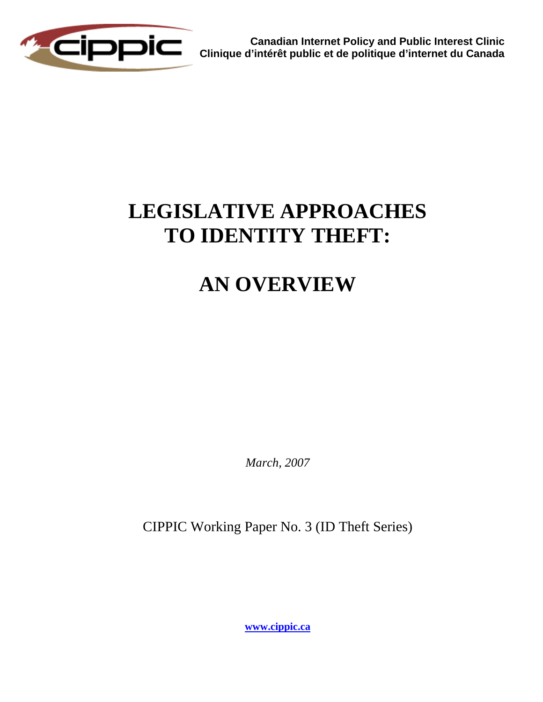

**Canadian Internet Policy and Public Interest Clinic Clinique d'intérêt public et de politique d'internet du Canada**

# **LEGISLATIVE APPROACHES TO IDENTITY THEFT:**

## **AN OVERVIEW**

*March, 2007* 

CIPPIC Working Paper No. 3 (ID Theft Series)

**[www.cippic.ca](http://www.cippic.ca/)**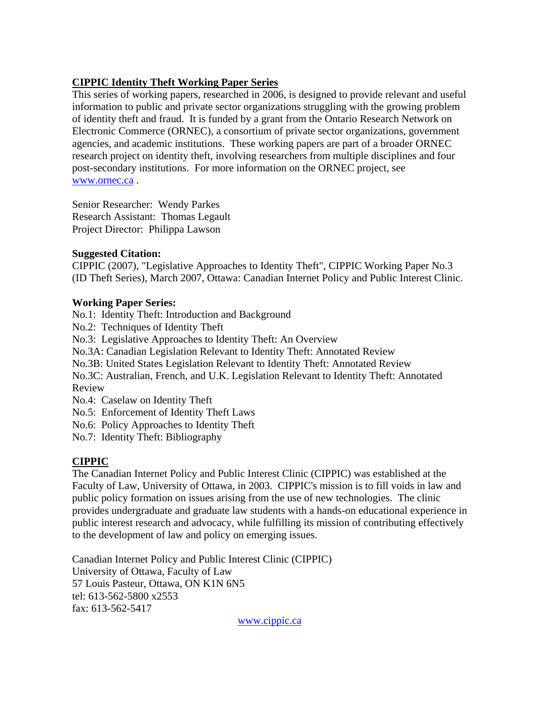## **CIPPIC Identity Theft Working Paper Series**

This series of working papers, researched in 2006, is designed to provide relevant and useful information to public and private sector organizations struggling with the growing problem of identity theft and fraud. It is funded by a grant from the Ontario Research Network on Electronic Commerce (ORNEC), a consortium of private sector organizations, government agencies, and academic institutions. These working papers are part of a broader ORNEC research project on identity theft, involving researchers from multiple disciplines and four post-secondary institutions. For more information on the ORNEC project, see [www.ornec.ca](http://www.ornec.ca/) .

Senior Researcher: Wendy Parkes Research Assistant: Thomas Legault Project Director: Philippa Lawson

#### **Suggested Citation:**

CIPPIC (2007), "Legislative Approaches to Identity Theft", CIPPIC Working Paper No.3 (ID Theft Series), March 2007, Ottawa: Canadian Internet Policy and Public Interest Clinic.

#### **Working Paper Series:**

No.1: Identity Theft: Introduction and Background No.2: Techniques of Identity Theft

No.3: Legislative Approaches to Identity Theft: An Overview

No.3A: Canadian Legislation Relevant to Identity Theft: Annotated Review

No.3B: United States Legislation Relevant to Identity Theft: Annotated Review

No.3C: Australian, French, and U.K. Legislation Relevant to Identity Theft: Annotated Review

No.4: Caselaw on Identity Theft

No.5: Enforcement of Identity Theft Laws

No.6: Policy Approaches to Identity Theft

No.7: Identity Theft: Bibliography

## **CIPPIC**

The Canadian Internet Policy and Public Interest Clinic (CIPPIC) was established at the Faculty of Law, University of Ottawa, in 2003. CIPPIC's mission is to fill voids in law and public policy formation on issues arising from the use of new technologies. The clinic provides undergraduate and graduate law students with a hands-on educational experience in public interest research and advocacy, while fulfilling its mission of contributing effectively to the development of law and policy on emerging issues.

Canadian Internet Policy and Public Interest Clinic (CIPPIC) University of Ottawa, Faculty of Law 57 Louis Pasteur, Ottawa, ON K1N 6N5 tel: 613-562-5800 x2553 fax: 613-562-5417

[www.cippic.ca](http://www.cippic.ca/)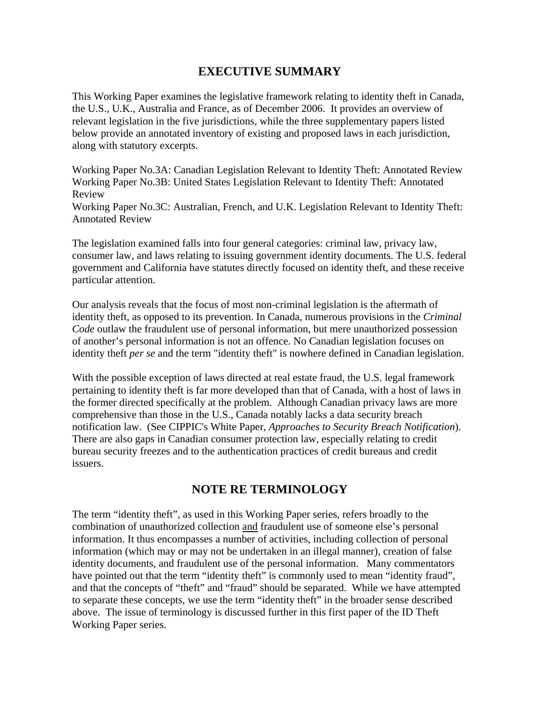## **EXECUTIVE SUMMARY**

This Working Paper examines the legislative framework relating to identity theft in Canada, the U.S., U.K., Australia and France, as of December 2006. It provides an overview of relevant legislation in the five jurisdictions, while the three supplementary papers listed below provide an annotated inventory of existing and proposed laws in each jurisdiction, along with statutory excerpts.

Working Paper No.3A: Canadian Legislation Relevant to Identity Theft: Annotated Review Working Paper No.3B: United States Legislation Relevant to Identity Theft: Annotated Review

Working Paper No.3C: Australian, French, and U.K. Legislation Relevant to Identity Theft: Annotated Review

The legislation examined falls into four general categories: criminal law, privacy law, consumer law, and laws relating to issuing government identity documents. The U.S. federal government and California have statutes directly focused on identity theft, and these receive particular attention.

Our analysis reveals that the focus of most non-criminal legislation is the aftermath of identity theft, as opposed to its prevention. In Canada, numerous provisions in the *Criminal Code* outlaw the fraudulent use of personal information, but mere unauthorized possession of another's personal information is not an offence. No Canadian legislation focuses on identity theft *per se* and the term "identity theft" is nowhere defined in Canadian legislation.

With the possible exception of laws directed at real estate fraud, the U.S. legal framework pertaining to identity theft is far more developed than that of Canada, with a host of laws in the former directed specifically at the problem. Although Canadian privacy laws are more comprehensive than those in the U.S., Canada notably lacks a data security breach notification law. (See CIPPIC's White Paper, *Approaches to Security Breach Notification*). There are also gaps in Canadian consumer protection law, especially relating to credit bureau security freezes and to the authentication practices of credit bureaus and credit issuers.

## **NOTE RE TERMINOLOGY**

The term "identity theft", as used in this Working Paper series, refers broadly to the combination of unauthorized collection and fraudulent use of someone else's personal information. It thus encompasses a number of activities, including collection of personal information (which may or may not be undertaken in an illegal manner), creation of false identity documents, and fraudulent use of the personal information. Many commentators have pointed out that the term "identity theft" is commonly used to mean "identity fraud", and that the concepts of "theft" and "fraud" should be separated. While we have attempted to separate these concepts, we use the term "identity theft" in the broader sense described above. The issue of terminology is discussed further in this first paper of the ID Theft Working Paper series.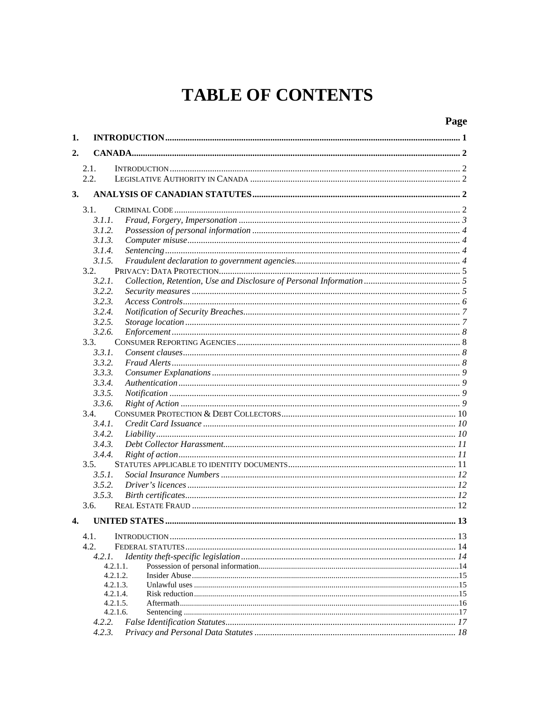## **TABLE OF CONTENTS**

|    |        |                      | Page |
|----|--------|----------------------|------|
| 1. |        |                      |      |
| 2. |        |                      |      |
|    | 2.1.   |                      |      |
|    | 2.2.   |                      |      |
| 3. |        |                      |      |
|    |        |                      |      |
|    | 3.1.   |                      |      |
|    | 3.1.1. |                      |      |
|    | 3.1.2. |                      |      |
|    | 3.1.3. |                      |      |
|    | 3.1.4. |                      |      |
|    | 3.1.5. |                      |      |
|    | 3.2.   |                      |      |
|    | 3.2.1. |                      |      |
|    | 3.2.2. |                      |      |
|    | 3.2.3. |                      |      |
|    | 3.2.4. |                      |      |
|    | 3.2.5. |                      |      |
|    | 3.2.6. |                      |      |
|    | 3.3.   |                      |      |
|    | 3.3.1. |                      |      |
|    | 3.3.2. |                      |      |
|    | 3.3.3. |                      |      |
|    | 3.3.4. |                      |      |
|    | 3.3.5. |                      |      |
|    | 3.3.6. |                      |      |
|    | 3.4.   |                      |      |
|    | 3.4.1. |                      |      |
|    | 3.4.2. |                      |      |
|    | 3.4.3. |                      |      |
|    | 3.4.4. |                      |      |
|    | 3.5.   |                      |      |
|    | 3.5.1. |                      |      |
|    | 3.5.2. |                      |      |
|    | 3.5.3. |                      |      |
|    | 3.6.   |                      |      |
| 4. |        |                      |      |
|    | 4.1.   |                      |      |
|    | 4.2.   |                      |      |
|    | 4.2.1. |                      |      |
|    |        | 4.2.1.1.             |      |
|    |        | 4.2.1.2.             |      |
|    |        | 4.2.1.3.             |      |
|    |        | 4.2.1.4.             |      |
|    |        | 4.2.1.5.<br>4.2.1.6. |      |
|    | 4.2.2. |                      |      |
|    | 4.2.3. |                      |      |
|    |        |                      |      |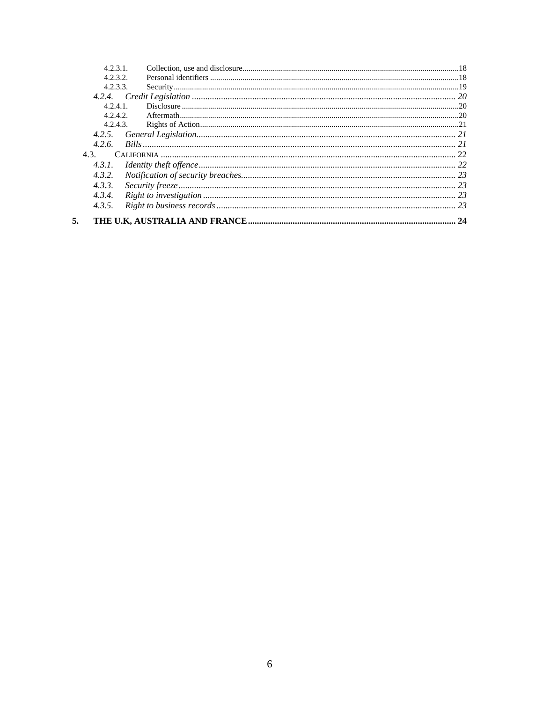| 4231     |  |
|----------|--|
| 4.2.3.2  |  |
| 4.2.3.3. |  |
|          |  |
| 4.2.4.1  |  |
| 4.2.4.2. |  |
| 4.2.4.3. |  |
| 4.2.5.   |  |
| 4.2.6.   |  |
| 4.3.     |  |
| 4.3.1.   |  |
| 4.3.2.   |  |
| 4.3.3.   |  |
| 4.3.4.   |  |
| 4.3.5.   |  |
|          |  |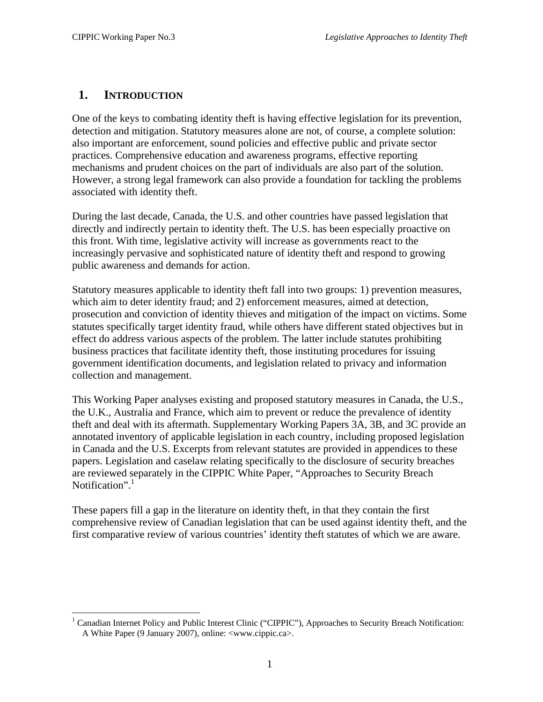## <span id="page-6-0"></span>**1. INTRODUCTION**

One of the keys to combating identity theft is having effective legislation for its prevention, detection and mitigation. Statutory measures alone are not, of course, a complete solution: also important are enforcement, sound policies and effective public and private sector practices. Comprehensive education and awareness programs, effective reporting mechanisms and prudent choices on the part of individuals are also part of the solution. However, a strong legal framework can also provide a foundation for tackling the problems associated with identity theft.

During the last decade, Canada, the U.S. and other countries have passed legislation that directly and indirectly pertain to identity theft. The U.S. has been especially proactive on this front. With time, legislative activity will increase as governments react to the increasingly pervasive and sophisticated nature of identity theft and respond to growing public awareness and demands for action.

Statutory measures applicable to identity theft fall into two groups: 1) prevention measures, which aim to deter identity fraud; and 2) enforcement measures, aimed at detection, prosecution and conviction of identity thieves and mitigation of the impact on victims. Some statutes specifically target identity fraud, while others have different stated objectives but in effect do address various aspects of the problem. The latter include statutes prohibiting business practices that facilitate identity theft, those instituting procedures for issuing government identification documents, and legislation related to privacy and information collection and management.

This Working Paper analyses existing and proposed statutory measures in Canada, the U.S., the U.K., Australia and France, which aim to prevent or reduce the prevalence of identity theft and deal with its aftermath. Supplementary Working Papers 3A, 3B, and 3C provide an annotated inventory of applicable legislation in each country, including proposed legislation in Canada and the U.S. Excerpts from relevant statutes are provided in appendices to these papers. Legislation and caselaw relating specifically to the disclosure of security breaches are reviewed separately in the CIPPIC White Paper, "Approaches to Security Breach Notification".<sup>[1](#page-6-1)</sup>

These papers fill a gap in the literature on identity theft, in that they contain the first comprehensive review of Canadian legislation that can be used against identity theft, and the first comparative review of various countries' identity theft statutes of which we are aware.

<span id="page-6-1"></span><sup>1</sup> <sup>1</sup> Canadian Internet Policy and Public Interest Clinic ("CIPPIC"), Approaches to Security Breach Notification: A White Paper (9 January 2007), online: <www.cippic.ca>.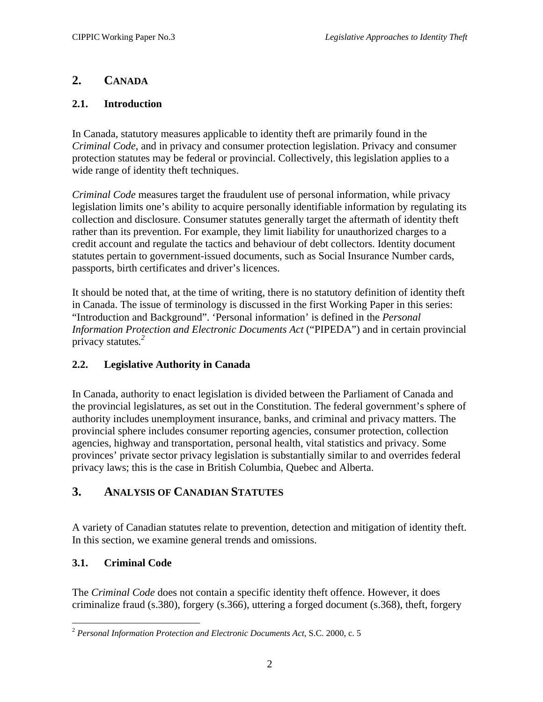## <span id="page-7-0"></span>**2. CANADA**

### **2.1. Introduction**

In Canada, statutory measures applicable to identity theft are primarily found in the *Criminal Code*, and in privacy and consumer protection legislation. Privacy and consumer protection statutes may be federal or provincial. Collectively, this legislation applies to a wide range of identity theft techniques.

*Criminal Code* measures target the fraudulent use of personal information, while privacy legislation limits one's ability to acquire personally identifiable information by regulating its collection and disclosure. Consumer statutes generally target the aftermath of identity theft rather than its prevention. For example, they limit liability for unauthorized charges to a credit account and regulate the tactics and behaviour of debt collectors. Identity document statutes pertain to government-issued documents, such as Social Insurance Number cards, passports, birth certificates and driver's licences.

It should be noted that, at the time of writing, there is no statutory definition of identity theft in Canada. The issue of terminology is discussed in the first Working Paper in this series: "Introduction and Background". 'Personal information' is defined in the *Personal Information Protection and Electronic Documents Act* ("PIPEDA") and in certain provincial privacy statutes*. [2](#page-7-1)*

## **2.2. Legislative Authority in Canada**

In Canada, authority to enact legislation is divided between the Parliament of Canada and the provincial legislatures, as set out in the Constitution. The federal government's sphere of authority includes unemployment insurance, banks, and criminal and privacy matters. The provincial sphere includes consumer reporting agencies, consumer protection, collection agencies, highway and transportation, personal health, vital statistics and privacy. Some provinces' private sector privacy legislation is substantially similar to and overrides federal privacy laws; this is the case in British Columbia, Quebec and Alberta.

## **3. ANALYSIS OF CANADIAN STATUTES**

A variety of Canadian statutes relate to prevention, detection and mitigation of identity theft. In this section, we examine general trends and omissions.

## **3.1. Criminal Code**

<u>.</u>

The *Criminal Code* does not contain a specific identity theft offence. However, it does criminalize fraud (s.380), forgery (s.366), uttering a forged document (s.368), theft, forgery

<span id="page-7-1"></span><sup>2</sup> *Personal Information Protection and Electronic Documents Act*, S.C. 2000, c. 5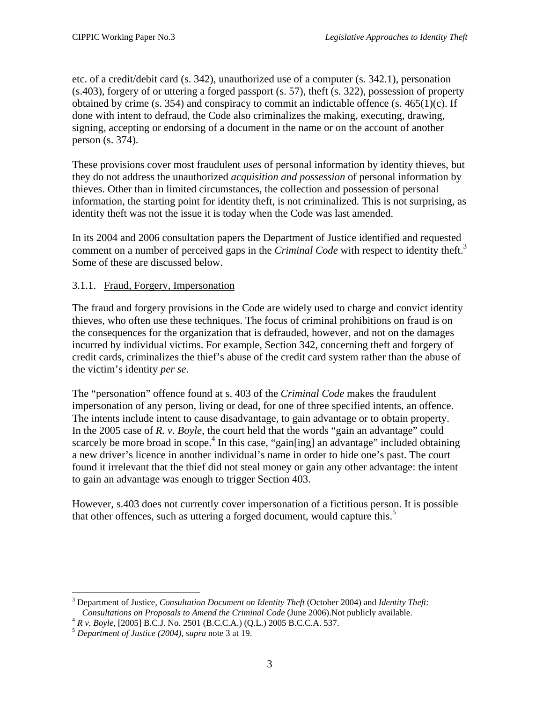<span id="page-8-0"></span>etc. of a credit/debit card (s. 342), unauthorized use of a computer (s. 342.1), personation (s.403), forgery of or uttering a forged passport (s. 57), theft (s. 322), possession of property obtained by crime (s. 354) and conspiracy to commit an indictable offence (s.  $465(1)(c)$ . If done with intent to defraud, the Code also criminalizes the making, executing, drawing, signing, accepting or endorsing of a document in the name or on the account of another person (s. 374).

These provisions cover most fraudulent *uses* of personal information by identity thieves, but they do not address the unauthorized *acquisition and possession* of personal information by thieves. Other than in limited circumstances, the collection and possession of personal information, the starting point for identity theft, is not criminalized. This is not surprising, as identity theft was not the issue it is today when the Code was last amended.

In its 2004 and 2006 consultation papers the Department of Justice identified and requested comment on a number of perceived gaps in the *Criminal Code* with respect to identity theft.<sup>[3](#page-8-1)</sup> Some of these are discussed below.

### 3.1.1. Fraud, Forgery, Impersonation

The fraud and forgery provisions in the Code are widely used to charge and convict identity thieves, who often use these techniques. The focus of criminal prohibitions on fraud is on the consequences for the organization that is defrauded, however, and not on the damages incurred by individual victims. For example, Section 342, concerning theft and forgery of credit cards, criminalizes the thief's abuse of the credit card system rather than the abuse of the victim's identity *per se*.

The "personation" offence found at s. 403 of the *Criminal Code* makes the fraudulent impersonation of any person, living or dead, for one of three specified intents, an offence. The intents include intent to cause disadvantage, to gain advantage or to obtain property. In the 2005 case of *R. v. Boyle*, the court held that the words "gain an advantage" could scarcely be more broad in scope.<sup>[4](#page-8-2)</sup> In this case, "gain[ing] an advantage" included obtaining a new driver's licence in another individual's name in order to hide one's past. The court found it irrelevant that the thief did not steal money or gain any other advantage: the intent to gain an advantage was enough to trigger Section 403.

However, s.403 does not currently cover impersonation of a fictitious person. It is possible that other offences, such as uttering a forged document, would capture this.<sup>[5](#page-8-3)</sup>

<u>.</u>

<span id="page-8-1"></span><sup>3</sup> Department of Justice, *Consultation Document on Identity Theft* (October 2004) and *Identity Theft:*  Consultations on Proposals to Amend the Criminal Code (June 2006). Not publicly available.<br>  ${}^{4}R$  v. Boyle, [2005] B.C.J. No. 2501 (B.C.C.A.) (Q.L.) 2005 B.C.C.A. 537.<br>  ${}^{5}$  Department of Justice (2004), supra note 3

<span id="page-8-2"></span>

<span id="page-8-3"></span>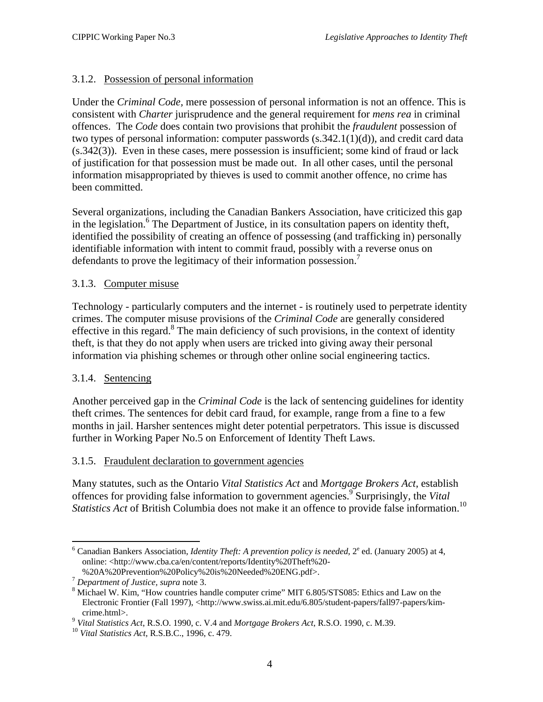### <span id="page-9-0"></span>3.1.2. Possession of personal information

Under the *Criminal Code,* mere possession of personal information is not an offence. This is consistent with *Charter* jurisprudence and the general requirement for *mens rea* in criminal offences. The *Code* does contain two provisions that prohibit the *fraudulent* possession of two types of personal information: computer passwords  $(s.342.1(1)(d))$ , and credit card data (s.342(3)). Even in these cases, mere possession is insufficient; some kind of fraud or lack of justification for that possession must be made out. In all other cases, until the personal information misappropriated by thieves is used to commit another offence, no crime has been committed.

Several organizations, including the Canadian Bankers Association, have criticized this gap in the legislation.<sup>[6](#page-9-1)</sup> The Department of Justice, in its consultation papers on identity theft, identified the possibility of creating an offence of possessing (and trafficking in) personally identifiable information with intent to commit fraud, possibly with a reverse onus on defendants to prove the legitimacy of their information possession.<sup>[7](#page-9-2)</sup>

#### 3.1.3. Computer misuse

Technology - particularly computers and the internet - is routinely used to perpetrate identity crimes. The computer misuse provisions of the *Criminal Code* are generally considered effective in this regard.<sup>[8](#page-9-3)</sup> The main deficiency of such provisions, in the context of identity theft, is that they do not apply when users are tricked into giving away their personal information via phishing schemes or through other online social engineering tactics.

#### 3.1.4. Sentencing

Another perceived gap in the *Criminal Code* is the lack of sentencing guidelines for identity theft crimes. The sentences for debit card fraud, for example, range from a fine to a few months in jail. Harsher sentences might deter potential perpetrators. This issue is discussed further in Working Paper No.5 on Enforcement of Identity Theft Laws.

#### 3.1.5. Fraudulent declaration to government agencies

Many statutes, such as the Ontario *Vital Statistics Act* and *Mortgage Brokers Act*, establish offences for providing false information to government agencies[.9](#page-9-4) Surprisingly, the *Vital Statistics Act* of British Columbia does not make it an offence to provide false information.<sup>10</sup>

<span id="page-9-1"></span><sup>1</sup>  $6$  Canadian Bankers Association, *Identity Theft: A prevention policy is needed*,  $2^e$  ed. (January 2005) at 4, online: <http://www.cba.ca/en/content/reports/Identity%20Theft%20-

<sup>%20</sup>A%20Prevention%20Policy%20is%20Needed%20ENG.pdf>. <sup>7</sup> *Department of Justice, supra* note 3. 8

<span id="page-9-2"></span>

<span id="page-9-3"></span> $8$  Michael W. Kim, "How countries handle computer crime" MIT 6.805/STS085: Ethics and Law on the Electronic Frontier (Fall 1997), <http://www.swiss.ai.mit.edu/6.805/student-papers/fall97-papers/kim-

<span id="page-9-4"></span>crime.html>. 9 *Vital Statistics Act*, R.S.O. 1990, c. V.4 and *Mortgage Brokers Act*, R.S.O. 1990, c. M.39. 10 *Vital Statistics Act*, R.S.B.C., 1996, c. 479.

<span id="page-9-5"></span>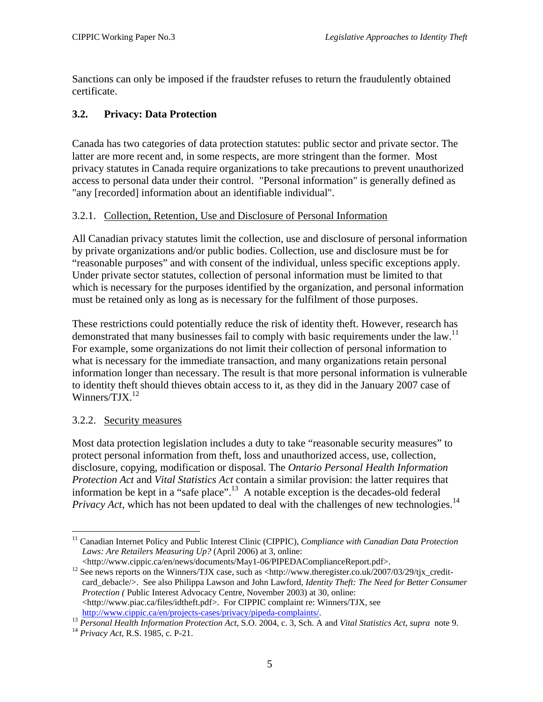<span id="page-10-0"></span>Sanctions can only be imposed if the fraudster refuses to return the fraudulently obtained certificate.

## **3.2. Privacy: Data Protection**

Canada has two categories of data protection statutes: public sector and private sector. The latter are more recent and, in some respects, are more stringent than the former. Most privacy statutes in Canada require organizations to take precautions to prevent unauthorized access to personal data under their control. "Personal information" is generally defined as "any [recorded] information about an identifiable individual".

### 3.2.1. Collection, Retention, Use and Disclosure of Personal Information

All Canadian privacy statutes limit the collection, use and disclosure of personal information by private organizations and/or public bodies. Collection, use and disclosure must be for "reasonable purposes" and with consent of the individual, unless specific exceptions apply. Under private sector statutes, collection of personal information must be limited to that which is necessary for the purposes identified by the organization, and personal information must be retained only as long as is necessary for the fulfilment of those purposes.

These restrictions could potentially reduce the risk of identity theft. However, research has demonstrated that many businesses fail to comply with basic requirements under the law.<sup>[11](#page-10-1)</sup> For example, some organizations do not limit their collection of personal information to what is necessary for the immediate transaction, and many organizations retain personal information longer than necessary. The result is that more personal information is vulnerable to identity theft should thieves obtain access to it, as they did in the January 2007 case of Winners/ $T$ JX. $^{12}$  $^{12}$  $^{12}$ 

#### 3.2.2. Security measures

Most data protection legislation includes a duty to take "reasonable security measures" to protect personal information from theft, loss and unauthorized access, use, collection, disclosure, copying, modification or disposal. The *Ontario Personal Health Information Protection Act* and *Vital Statistics Act* contain a similar provision: the latter requires that information be kept in a "safe place".<sup>13</sup> A notable exception is the decades-old federal *Privacy Act*, which has not been updated to deal with the challenges of new technologies.<sup>14</sup>

<span id="page-10-1"></span><sup>1</sup> 11 Canadian Internet Policy and Public Interest Clinic (CIPPIC), *Compliance with Canadian Data Protection Laws: Are Retailers Measuring Up?* (April 2006) at 3, online:

<span id="page-10-2"></span>

<sup>&</sup>lt;http://www.cippic.ca/en/news/documents/May1-06/PIPEDAComplianceReport.pdf>. 12 See news reports on the Winners/TJX case, such as <http://www.theregister.co.uk/2007/03/29/tjx\_creditcard\_debacle/>. See also Philippa Lawson and John Lawford, *Identity Theft: The Need for Better Consumer Protection (* Public Interest Advocacy Centre, November 2003) at 30, online: <http://www.piac.ca/files/idtheft.pdf>. For CIPPIC complaint re: Winners/TJX, see http://www.cippic.ca/en/projects-cases/privacy/pipeda-complaints/.

<span id="page-10-3"></span><sup>&</sup>lt;sup>13</sup> Personal Health Information Protection Act, S.O. 2004, c. 3, Sch. A and Vital Statistics Act, supra note 9.<br><sup>14</sup> Privacy Act, R.S. 1985, c. P-21.

<span id="page-10-4"></span>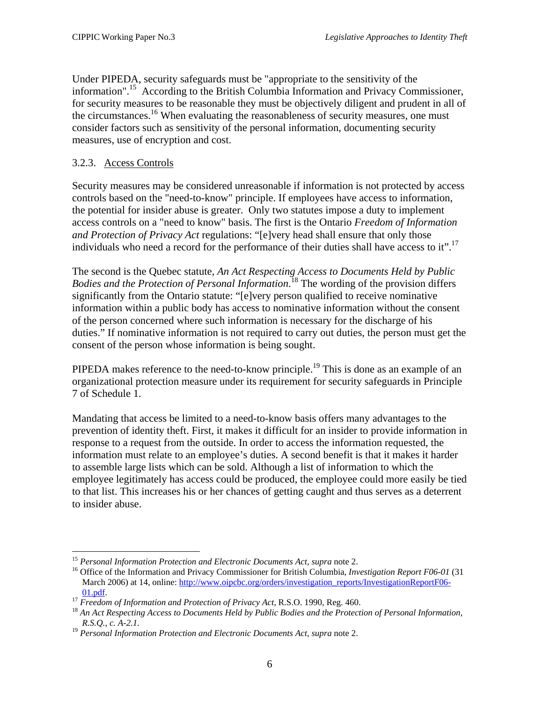<span id="page-11-0"></span>Under PIPEDA, security safeguards must be "appropriate to the sensitivity of the information".[15](#page-11-1) According to the British Columbia Information and Privacy Commissioner, for security measures to be reasonable they must be objectively diligent and prudent in all of the circumstances.<sup>16</sup> When evaluating the reasonableness of security measures, one must consider factors such as sensitivity of the personal information, documenting security measures, use of encryption and cost.

#### 3.2.3. Access Controls

1

Security measures may be considered unreasonable if information is not protected by access controls based on the "need-to-know" principle. If employees have access to information, the potential for insider abuse is greater. Only two statutes impose a duty to implement access controls on a "need to know" basis. The first is the Ontario *Freedom of Information and Protection of Privacy Act* regulations: "[e]very head shall ensure that only those individuals who need a record for the performance of their duties shall have access to it".<sup>17</sup>

The second is the Quebec statute, *An Act Respecting Access to Documents Held by Public Bodies and the Protection of Personal Information*. [18](#page-11-4) The wording of the provision differs significantly from the Ontario statute: "[e]very person qualified to receive nominative information within a public body has access to nominative information without the consent of the person concerned where such information is necessary for the discharge of his duties." If nominative information is not required to carry out duties, the person must get the consent of the person whose information is being sought.

PIPEDA makes reference to the need-to-know principle.<sup>19</sup> This is done as an example of an organizational protection measure under its requirement for security safeguards in Principle 7 of Schedule 1.

Mandating that access be limited to a need-to-know basis offers many advantages to the prevention of identity theft. First, it makes it difficult for an insider to provide information in response to a request from the outside. In order to access the information requested, the information must relate to an employee's duties. A second benefit is that it makes it harder to assemble large lists which can be sold. Although a list of information to which the employee legitimately has access could be produced, the employee could more easily be tied to that list. This increases his or her chances of getting caught and thus serves as a deterrent to insider abuse.

<span id="page-11-2"></span><span id="page-11-1"></span>

<sup>&</sup>lt;sup>15</sup> *Personal Information Protection and Electronic Documents Act, supra* note 2.<br><sup>16</sup> Office of the Information and Privacy Commissioner for British Columbia, *Investigation Report F06-01* (31) March 2006) at 14, online: [http://www.oipcbc.org/orders/investigation\\_reports/InvestigationReportF06-](http://www.oipcbc.org/orders/investigation_reports/InvestigationReportF06-01.pdf)

<span id="page-11-4"></span><span id="page-11-3"></span>

 $\frac{01.pdf}{17}$ .<br><sup>17</sup> Freedom of Information and Protection of Privacy Act, R.S.O. 1990, Reg. 460.<br><sup>18</sup> An Act Respecting Access to Documents Held by Public Bodies and the Protection of Personal Information, *R.S.Q., c. A-2.1.* 

<span id="page-11-5"></span><sup>19</sup> *Personal Information Protection and Electronic Documents Act, supra* note 2.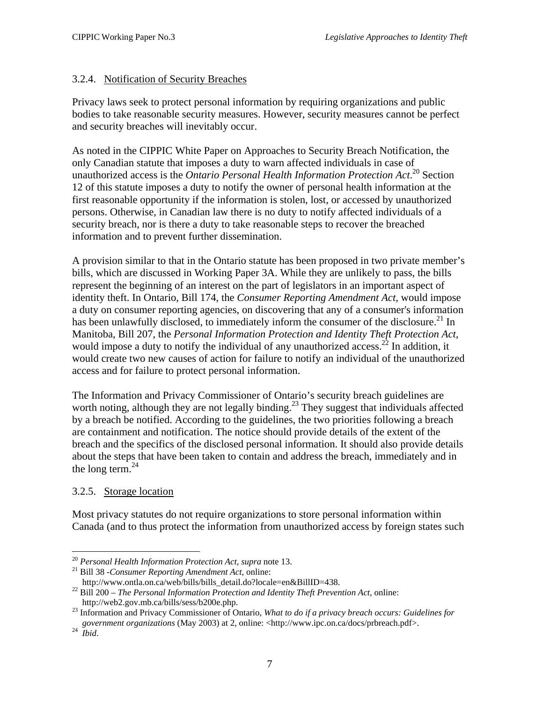#### <span id="page-12-0"></span>3.2.4. Notification of Security Breaches

Privacy laws seek to protect personal information by requiring organizations and public bodies to take reasonable security measures. However, security measures cannot be perfect and security breaches will inevitably occur.

As noted in the CIPPIC White Paper on Approaches to Security Breach Notification, the only Canadian statute that imposes a duty to warn affected individuals in case of unauthorized access is the *Ontario Personal Health Information Protection Act*. [20](#page-12-1) Section 12 of this statute imposes a duty to notify the owner of personal health information at the first reasonable opportunity if the information is stolen, lost, or accessed by unauthorized persons. Otherwise, in Canadian law there is no duty to notify affected individuals of a security breach, nor is there a duty to take reasonable steps to recover the breached information and to prevent further dissemination.

A provision similar to that in the Ontario statute has been proposed in two private member's bills, which are discussed in Working Paper 3A. While they are unlikely to pass, the bills represent the beginning of an interest on the part of legislators in an important aspect of identity theft. In Ontario, Bill 174, the *Consumer Reporting Amendment Act,* would impose a duty on consumer reporting agencies, on discovering that any of a consumer's information has been unlawfully disclosed, to immediately inform the consumer of the disclosure.<sup>21</sup> In Manitoba, Bill 207, the *Personal Information Protection and Identity Theft Protection Act,*  would impose a duty to notify the individual of any unauthorized access.<sup>22</sup> In addition, it would create two new causes of action for failure to notify an individual of the unauthorized access and for failure to protect personal information.

The Information and Privacy Commissioner of Ontario's security breach guidelines are worth noting, although they are not legally binding.<sup>23</sup> They suggest that individuals affected by a breach be notified. According to the guidelines, the two priorities following a breach are containment and notification. The notice should provide details of the extent of the breach and the specifics of the disclosed personal information. It should also provide details about the steps that have been taken to contain and address the breach, immediately and in the long term. $^{24}$  $^{24}$  $^{24}$ 

## 3.2.5. Storage location

Most privacy statutes do not require organizations to store personal information within Canada (and to thus protect the information from unauthorized access by foreign states such

1

<span id="page-12-1"></span><sup>20</sup> *Personal Health Information Protection Act, supra* note 13. 21 Bill 38 *-Consumer Reporting Amendment Act*, online:

<span id="page-12-2"></span>

<span id="page-12-3"></span>

http://www.ontla.on.ca/web/bills/bills\_detail.do?locale=en&BillID=438.22 Bill 200 *– The Personal Information Protection and Identity Theft Prevention Act*, online:

<span id="page-12-4"></span>http://web2.gov.mb.ca/bills/sess/b200e.php. 23 Information and Privacy Commissioner of Ontario, *What to do if a privacy breach occurs: Guidelines for government organizations* (May 2003) at 2, online: <http://www.ipc.on.ca/docs/prbreach.pdf>. 24 *Ibid*.

<span id="page-12-5"></span>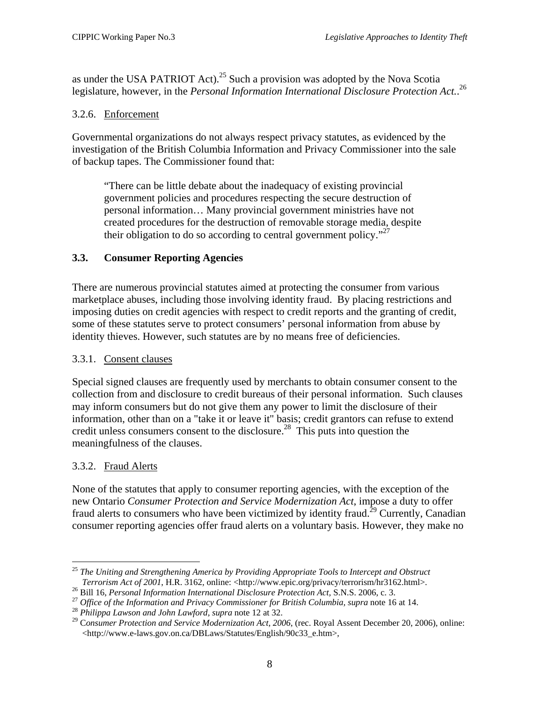<span id="page-13-0"></span>as under the USA PATRIOT Act).<sup>25</sup> Such a provision was adopted by the Nova Scotia legislature, however, in the *Personal Information International Disclosure Protection Act.*. [26](#page-13-2)

#### 3.2.6. Enforcement

Governmental organizations do not always respect privacy statutes, as evidenced by the investigation of the British Columbia Information and Privacy Commissioner into the sale of backup tapes. The Commissioner found that:

"There can be little debate about the inadequacy of existing provincial government policies and procedures respecting the secure destruction of personal information… Many provincial government ministries have not created procedures for the destruction of removable storage media, despite their obligation to do so according to central government policy."<sup>[27](#page-13-3)</sup>

## **3.3. Consumer Reporting Agencies**

There are numerous provincial statutes aimed at protecting the consumer from various marketplace abuses, including those involving identity fraud. By placing restrictions and imposing duties on credit agencies with respect to credit reports and the granting of credit, some of these statutes serve to protect consumers' personal information from abuse by identity thieves. However, such statutes are by no means free of deficiencies.

#### 3.3.1. Consent clauses

Special signed clauses are frequently used by merchants to obtain consumer consent to the collection from and disclosure to credit bureaus of their personal information. Such clauses may inform consumers but do not give them any power to limit the disclosure of their information, other than on a "take it or leave it" basis; credit grantors can refuse to extend credit unless consumers consent to the disclosure.<sup>28</sup> This puts into question the meaningfulness of the clauses.

## 3.3.2. Fraud Alerts

None of the statutes that apply to consumer reporting agencies, with the exception of the new Ontario *Consumer Protection and Service Modernization Act*, impose a duty to offer fraud alerts to consumers who have been victimized by identity fraud.<sup>29</sup> Currently, Canadian consumer reporting agencies offer fraud alerts on a voluntary basis. However, they make no

<span id="page-13-1"></span><sup>&</sup>lt;u>.</u> <sup>25</sup> *The Uniting and Strengthening America by Providing Appropriate Tools to Intercept and Obstruct Terrorism Act of 2001*, H.R. 3162, online: <http://www.epic.org/privacy/terrorism/hr3162.html>.<sup>26</sup> Bill 16, *Personal Information International Disclosure Protection Act*, S.N.S. 2006, c. 3.<br><sup>27</sup> Office of the Informati

<span id="page-13-2"></span>

<span id="page-13-3"></span>

<span id="page-13-4"></span>

<span id="page-13-5"></span><sup>&</sup>lt;http://www.e-laws.gov.on.ca/DBLaws/Statutes/English/90c33\_e.htm>*,*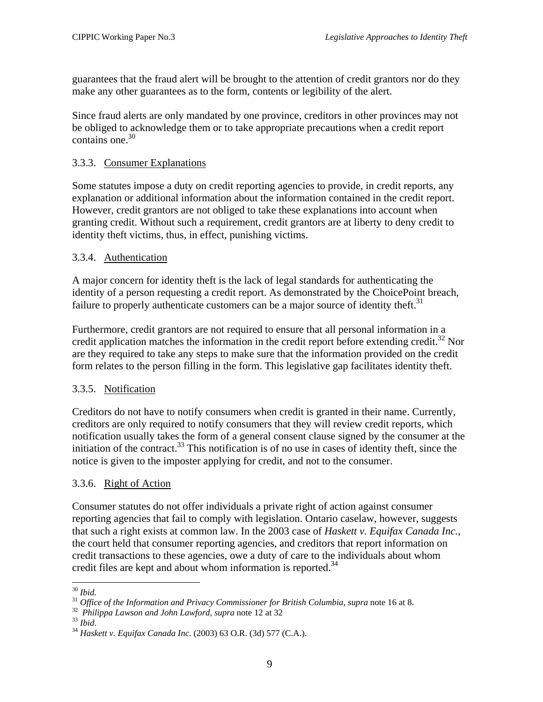<span id="page-14-0"></span>guarantees that the fraud alert will be brought to the attention of credit grantors nor do they make any other guarantees as to the form, contents or legibility of the alert.

Since fraud alerts are only mandated by one province, creditors in other provinces may not be obliged to acknowledge them or to take appropriate precautions when a credit report contains one. $30$ 

#### 3.3.3. Consumer Explanations

Some statutes impose a duty on credit reporting agencies to provide, in credit reports, any explanation or additional information about the information contained in the credit report. However, credit grantors are not obliged to take these explanations into account when granting credit. Without such a requirement, credit grantors are at liberty to deny credit to identity theft victims, thus, in effect, punishing victims.

### 3.3.4. Authentication

A major concern for identity theft is the lack of legal standards for authenticating the identity of a person requesting a credit report. As demonstrated by the ChoicePoint breach, failure to properly authenticate customers can be a major source of identity theft.<sup>[31](#page-14-2)</sup>

Furthermore, credit grantors are not required to ensure that all personal information in a credit application matches the information in the credit report before extending credit.<sup>32</sup> Nor are they required to take any steps to make sure that the information provided on the credit form relates to the person filling in the form. This legislative gap facilitates identity theft.

#### 3.3.5. Notification

Creditors do not have to notify consumers when credit is granted in their name. Currently, creditors are only required to notify consumers that they will review credit reports, which notification usually takes the form of a general consent clause signed by the consumer at the initiation of the contract.<sup>33</sup> This notification is of no use in cases of identity theft, since the notice is given to the imposter applying for credit, and not to the consumer.

#### 3.3.6. Right of Action

Consumer statutes do not offer individuals a private right of action against consumer reporting agencies that fail to comply with legislation. Ontario caselaw, however, suggests that such a right exists at common law. In the 2003 case of *Haskett v. Equifax Canada Inc.*, the court held that consumer reporting agencies, and creditors that report information on credit transactions to these agencies, owe a duty of care to the individuals about whom credit files are kept and about whom information is reported.<sup>34</sup>

<span id="page-14-1"></span> $^{\rm 30}$  Ibid.

<span id="page-14-2"></span><sup>&</sup>lt;sup>31</sup> Office of the Information and Privacy Commissioner for British Columbia, supra note 16 at 8.<br><sup>32</sup> Philippa Lawson and John Lawford, supra note 12 at 32<br><sup>33</sup> Ibid.<br><sup>34</sup> Haskett v. Equifax Canada Inc. (2003) 63 O.R. (3

<span id="page-14-3"></span>

<span id="page-14-4"></span>

<span id="page-14-5"></span>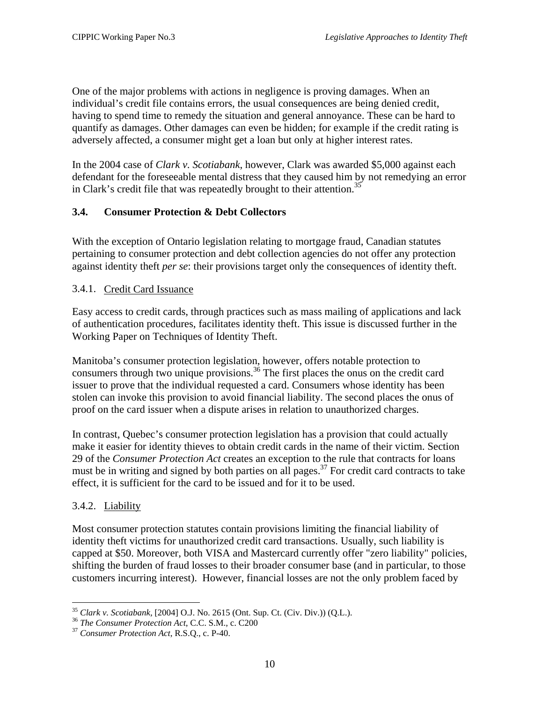<span id="page-15-0"></span>One of the major problems with actions in negligence is proving damages. When an individual's credit file contains errors, the usual consequences are being denied credit, having to spend time to remedy the situation and general annoyance. These can be hard to quantify as damages. Other damages can even be hidden; for example if the credit rating is adversely affected, a consumer might get a loan but only at higher interest rates.

In the 2004 case of *Clark v. Scotiabank*, however, Clark was awarded \$5,000 against each defendant for the foreseeable mental distress that they caused him by not remedying an error in Clark's credit file that was repeatedly brought to their attention.<sup>35</sup>

## **3.4. Consumer Protection & Debt Collectors**

With the exception of Ontario legislation relating to mortgage fraud, Canadian statutes pertaining to consumer protection and debt collection agencies do not offer any protection against identity theft *per se*: their provisions target only the consequences of identity theft.

## 3.4.1. Credit Card Issuance

Easy access to credit cards, through practices such as mass mailing of applications and lack of authentication procedures, facilitates identity theft. This issue is discussed further in the Working Paper on Techniques of Identity Theft.

Manitoba's consumer protection legislation, however, offers notable protection to consumers through two unique provisions.<sup>36</sup> The first places the onus on the credit card issuer to prove that the individual requested a card. Consumers whose identity has been stolen can invoke this provision to avoid financial liability. The second places the onus of proof on the card issuer when a dispute arises in relation to unauthorized charges.

In contrast, Quebec's consumer protection legislation has a provision that could actually make it easier for identity thieves to obtain credit cards in the name of their victim. Section 29 of the *Consumer Protection Act* creates an exception to the rule that contracts for loans must be in writing and signed by both parties on all pages.<sup>37</sup> For credit card contracts to take effect, it is sufficient for the card to be issued and for it to be used.

## 3.4.2. Liability

1

Most consumer protection statutes contain provisions limiting the financial liability of identity theft victims for unauthorized credit card transactions. Usually, such liability is capped at \$50. Moreover, both VISA and Mastercard currently offer "zero liability" policies, shifting the burden of fraud losses to their broader consumer base (and in particular, to those customers incurring interest). However, financial losses are not the only problem faced by

<span id="page-15-1"></span><sup>&</sup>lt;sup>35</sup> *Clark v. Scotiabank,* [2004] O.J. No. 2615 (Ont. Sup. Ct. (Civ. Div.)) (Q.L.).<br><sup>36</sup> *The Consumer Protection Act*, C.C. S.M., c. C200<br><sup>37</sup> *Consumer Protection Act*, R.S.Q., c. P-40.

<span id="page-15-2"></span>

<span id="page-15-3"></span>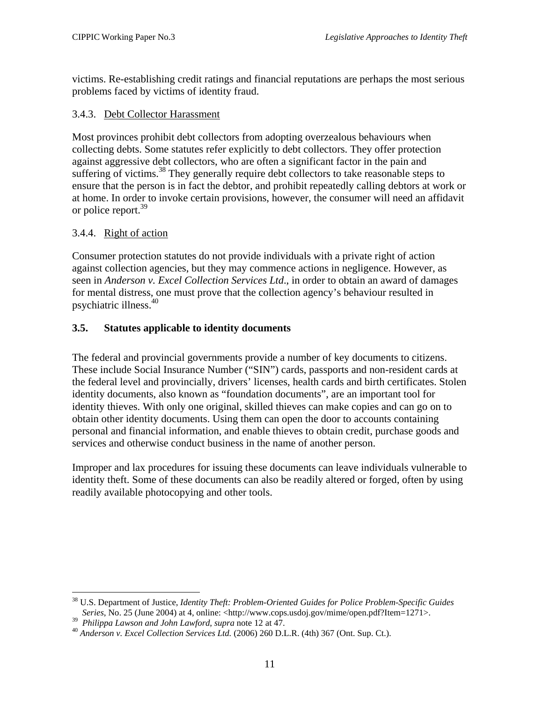<span id="page-16-0"></span>victims. Re-establishing credit ratings and financial reputations are perhaps the most serious problems faced by victims of identity fraud.

### 3.4.3. Debt Collector Harassment

Most provinces prohibit debt collectors from adopting overzealous behaviours when collecting debts. Some statutes refer explicitly to debt collectors. They offer protection against aggressive debt collectors, who are often a significant factor in the pain and suffering of victims.<sup>38</sup> They generally require debt collectors to take reasonable steps to ensure that the person is in fact the debtor, and prohibit repeatedly calling debtors at work or at home. In order to invoke certain provisions, however, the consumer will need an affidavit or police report.<sup>39</sup>

### 3.4.4. Right of action

Consumer protection statutes do not provide individuals with a private right of action against collection agencies, but they may commence actions in negligence. However, as seen in *Anderson v. Excel Collection Services Ltd*., in order to obtain an award of damages for mental distress, one must prove that the collection agency's behaviour resulted in psychiatric illness.[40](#page-16-3)

## **3.5. Statutes applicable to identity documents**

The federal and provincial governments provide a number of key documents to citizens. These include Social Insurance Number ("SIN") cards, passports and non-resident cards at the federal level and provincially, drivers' licenses, health cards and birth certificates. Stolen identity documents, also known as "foundation documents", are an important tool for identity thieves. With only one original, skilled thieves can make copies and can go on to obtain other identity documents. Using them can open the door to accounts containing personal and financial information, and enable thieves to obtain credit, purchase goods and services and otherwise conduct business in the name of another person.

Improper and lax procedures for issuing these documents can leave individuals vulnerable to identity theft. Some of these documents can also be readily altered or forged, often by using readily available photocopying and other tools.

<u>.</u>

<span id="page-16-1"></span><sup>&</sup>lt;sup>38</sup> U.S. Department of Justice, *Identity Theft: Problem-Oriented Guides for Police Problem-Specific Guides Series*, No. 25 (June 2004) at 4, online: <http://www.cops.usdoj.gov/mime/open.pdf?Item=1271>.

<span id="page-16-3"></span><span id="page-16-2"></span>

<sup>&</sup>lt;sup>39</sup> Philippa Lawson and John Lawford, supra note 12 at 47.<br><sup>40</sup> Anderson v. Excel Collection Services Ltd. (2006) 260 D.L.R. (4th) 367 (Ont. Sup. Ct.).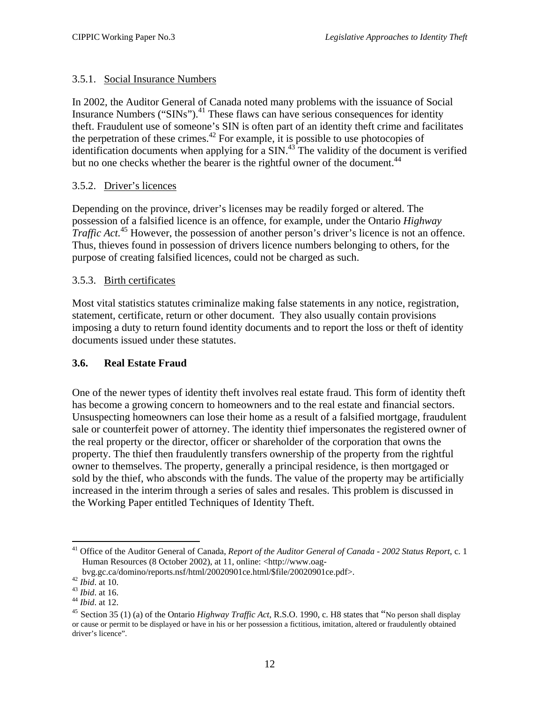## <span id="page-17-0"></span>3.5.1. Social Insurance Numbers

In 2002, the Auditor General of Canada noted many problems with the issuance of Social Insurance Numbers ("SINs").<sup>41</sup> These flaws can have serious consequences for identity theft. Fraudulent use of someone's SIN is often part of an identity theft crime and facilitates the perpetration of these crimes.<sup>42</sup> For example, it is possible to use photocopies of identification documents when applying for a  $\text{SIN}^{43}$ . The validity of the document is verified but no one checks whether the bearer is the rightful owner of the document.<sup>[44](#page-17-4)</sup>

### 3.5.2. Driver's licences

Depending on the province, driver's licenses may be readily forged or altered. The possession of a falsified licence is an offence, for example, under the Ontario *Highway Traffic Act.*<sup>45</sup> However, the possession of another person's driver's licence is not an offence. Thus, thieves found in possession of drivers licence numbers belonging to others, for the purpose of creating falsified licences, could not be charged as such.

### 3.5.3. Birth certificates

Most vital statistics statutes criminalize making false statements in any notice, registration, statement, certificate, return or other document. They also usually contain provisions imposing a duty to return found identity documents and to report the loss or theft of identity documents issued under these statutes.

#### **3.6. Real Estate Fraud**

One of the newer types of identity theft involves real estate fraud. This form of identity theft has become a growing concern to homeowners and to the real estate and financial sectors. Unsuspecting homeowners can lose their home as a result of a falsified mortgage, fraudulent sale or counterfeit power of attorney. The identity thief impersonates the registered owner of the real property or the director, officer or shareholder of the corporation that owns the property. The thief then fraudulently transfers ownership of the property from the rightful owner to themselves. The property, generally a principal residence, is then mortgaged or sold by the thief, who absconds with the funds. The value of the property may be artificially increased in the interim through a series of sales and resales. This problem is discussed in the Working Paper entitled Techniques of Identity Theft.

<span id="page-17-1"></span><sup>1</sup> 41 Office of the Auditor General of Canada, *Report of the Auditor General of Canada - 2002 Status Report*, c. 1 Human Resources (8 October 2002), at 11, online: <http://www.oag-

<span id="page-17-2"></span>

<span id="page-17-3"></span>

<span id="page-17-5"></span><span id="page-17-4"></span>

bvg.gc.ca/domino/reports.nsf/html/20020901ce.html/\$file/20020901ce.pdf>.<br>
<sup>42</sup> Ibid. at 10.<br>
<sup>43</sup> Ibid. at 16.<br>
<sup>44</sup> Ibid. at 12.<br>
<sup>45</sup> Section 35 (1) (a) of the Ontario *Highway Traffic Act*, R.S.O. 1990, c. H8 states tha or cause or permit to be displayed or have in his or her possession a fictitious, imitation, altered or fraudulently obtained driver's licence".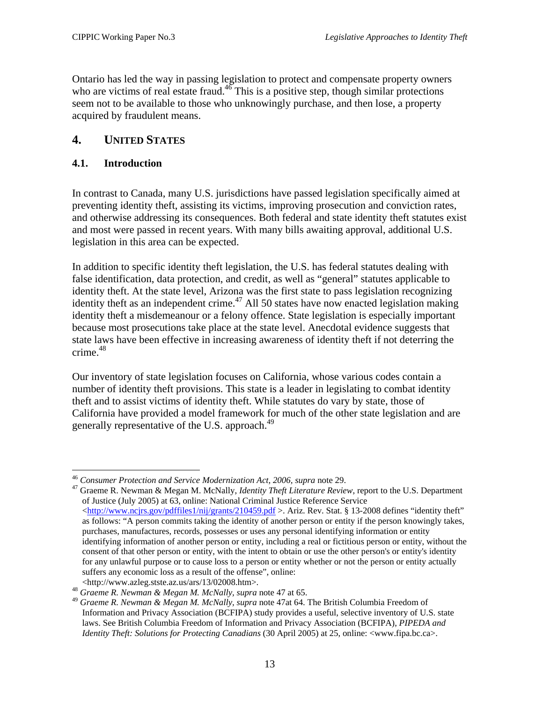<span id="page-18-0"></span>Ontario has led the way in passing legislation to protect and compensate property owners who are victims of real estate fraud.<sup>46</sup> This is a positive step, though similar protections seem not to be available to those who unknowingly purchase, and then lose, a property acquired by fraudulent means.

## **4. UNITED STATES**

#### **4.1. Introduction**

In contrast to Canada, many U.S. jurisdictions have passed legislation specifically aimed at preventing identity theft, assisting its victims, improving prosecution and conviction rates, and otherwise addressing its consequences. Both federal and state identity theft statutes exist and most were passed in recent years. With many bills awaiting approval, additional U.S. legislation in this area can be expected.

In addition to specific identity theft legislation, the U.S. has federal statutes dealing with false identification, data protection, and credit, as well as "general" statutes applicable to identity theft. At the state level, Arizona was the first state to pass legislation recognizing identity theft as an independent crime.<sup>47</sup> All 50 states have now enacted legislation making identity theft a misdemeanour or a felony offence. State legislation is especially important because most prosecutions take place at the state level. Anecdotal evidence suggests that state laws have been effective in increasing awareness of identity theft if not deterring the crime. $48$ 

Our inventory of state legislation focuses on California, whose various codes contain a number of identity theft provisions. This state is a leader in legislating to combat identity theft and to assist victims of identity theft. While statutes do vary by state, those of California have provided a model framework for much of the other state legislation and are generally representative of the U.S. approach.<sup>49</sup>

<sup>1</sup> 

<span id="page-18-2"></span><span id="page-18-1"></span><sup>&</sup>lt;sup>46</sup> *Consumer Protection and Service Modernization Act, 2006, supra* note 29.<br><sup>47</sup> Graeme R. Newman & Megan M. McNally, *Identity Theft Literature Review*, report to the U.S. Department of Justice (July 2005) at 63, online: National Criminal Justice Reference Service [<http://www.ncjrs.gov/pdffiles1/nij/grants/210459.pdf](http://www.ncjrs.gov/pdffiles1/nij/grants/210459.pdf) >. Ariz. Rev. Stat. § 13-2008 defines "identity theft" as follows: "A person commits taking the identity of another person or entity if the person knowingly takes, purchases, manufactures, records, possesses or uses any personal identifying information or entity identifying information of another person or entity, including a real or fictitious person or entity, without the consent of that other person or entity, with the intent to obtain or use the other person's or entity's identity for any unlawful purpose or to cause loss to a person or entity whether or not the person or entity actually suffers any economic loss as a result of the offense", online:

<span id="page-18-4"></span><span id="page-18-3"></span>

<sup>&</sup>lt;http://www.azleg.stste.az.us/ars/13/02008.htm>. 48 *Graeme R. Newman & Megan M. McNally, supra* note 47 at 65. 49 *Graeme R. Newman & Megan M. McNally, supra* note 47at 64. The British Columbia Freedom of Information and Privacy Association (BCFIPA) study provides a useful, selective inventory of U.S. state laws. See British Columbia Freedom of Information and Privacy Association (BCFIPA), *PIPEDA and Identity Theft: Solutions for Protecting Canadians* (30 April 2005) at 25, online: <www.fipa.bc.ca>.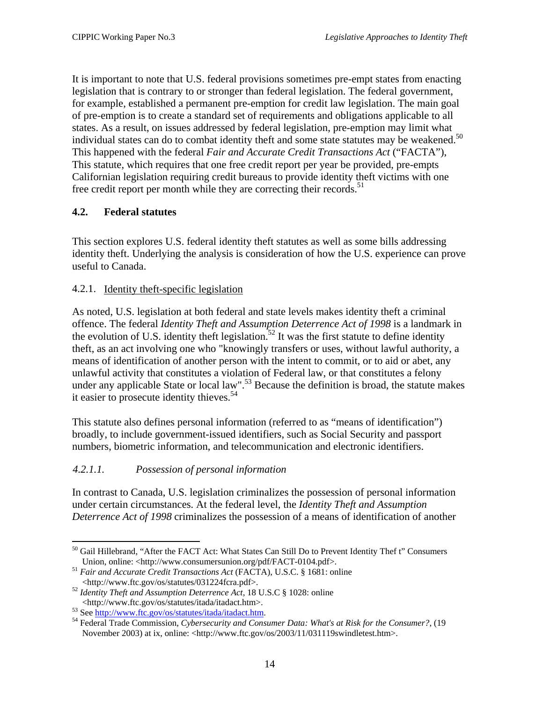<span id="page-19-0"></span>It is important to note that U.S. federal provisions sometimes pre-empt states from enacting legislation that is contrary to or stronger than federal legislation. The federal government, for example, established a permanent pre-emption for credit law legislation. The main goal of pre-emption is to create a standard set of requirements and obligations applicable to all states. As a result, on issues addressed by federal legislation, pre-emption may limit what individual states can do to combat identity theft and some state statutes may be weakened.<sup>50</sup> This happened with the federal *Fair and Accurate Credit Transactions Act* ("FACTA"), This statute, which requires that one free credit report per year be provided, pre-empts Californian legislation requiring credit bureaus to provide identity theft victims with one free credit report per month while they are correcting their records.<sup>51</sup>

### **4.2. Federal statutes**

This section explores U.S. federal identity theft statutes as well as some bills addressing identity theft. Underlying the analysis is consideration of how the U.S. experience can prove useful to Canada.

#### 4.2.1. Identity theft-specific legislation

As noted, U.S. legislation at both federal and state levels makes identity theft a criminal offence. The federal *Identity Theft and Assumption Deterrence Act of 1998* is a landmark in the evolution of U.S. identity theft legislation.<sup>52</sup> It was the first statute to define identity theft, as an act involving one who "knowingly transfers or uses, without lawful authority, a means of identification of another person with the intent to commit, or to aid or abet, any unlawful activity that constitutes a violation of Federal law, or that constitutes a felony under any applicable State or local law".<sup>53</sup> Because the definition is broad, the statute makes it easier to prosecute identity thieves.<sup>[54](#page-19-5)</sup>

This statute also defines personal information (referred to as "means of identification") broadly, to include government-issued identifiers, such as Social Security and passport numbers, biometric information, and telecommunication and electronic identifiers.

## *4.2.1.1. Possession of personal information*

In contrast to Canada, U.S. legislation criminalizes the possession of personal information under certain circumstances. At the federal level, the *Identity Theft and Assumption Deterrence Act of 1998* criminalizes the possession of a means of identification of another

1

<span id="page-19-1"></span><sup>&</sup>lt;sup>50</sup> Gail Hillebrand, "After the FACT Act: What States Can Still Do to Prevent Identity Thef t" Consumers

<span id="page-19-2"></span>Union, online: <http://www.consumersunion.org/pdf/FACT-0104.pdf>.<br>
<sup>51</sup> *Fair and Accurate Credit Transactions Act* (FACTA), U.S.C. § 1681: online<br>
<http://www.ftc.gov/os/statutes/031224fcra.pdf>.

<span id="page-19-3"></span><sup>&</sup>lt;sup>52</sup> Identity Theft and Assumption Deterrence Act, 18 U.S.C § 1028: online

<span id="page-19-5"></span><span id="page-19-4"></span>

<sup>&</sup>lt;ht[tp://www.ftc.gov/os/statutes/itada/itadact.htm>.](http://www.ftc.gov/os/statutes/itada/itadact.htm) 53 See [http://www.ftc.gov/os/statutes/itada/itadact.htm.](http://www.ftc.gov/os/statutes/itada/itadact.htm) 54 Federal Trade Commission, *Cybersecurity and Consumer Data: What's at Risk for the Consumer?*, (19 November 2003) at ix, online: <http://www.ftc.gov/os/2003/11/031119swindletest.htm>.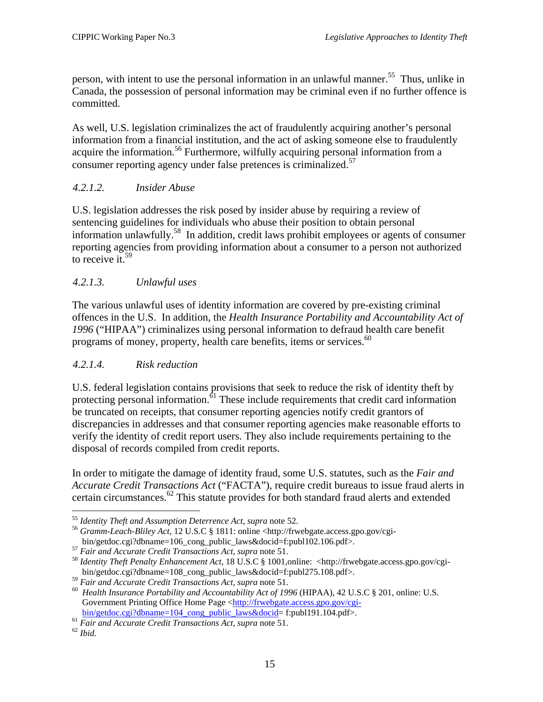<span id="page-20-0"></span>person, with intent to use the personal information in an unlawful manner.<sup>55</sup> Thus, unlike in Canada, the possession of personal information may be criminal even if no further offence is committed.

As well, U.S. legislation criminalizes the act of fraudulently acquiring another's personal information from a financial institution, and the act of asking someone else to fraudulently acquire the information.<sup>56</sup> Furthermore, wilfully acquiring personal information from a consumer reporting agency under false pretences is criminalized.<sup>57</sup>

### *4.2.1.2. Insider Abuse*

U.S. legislation addresses the risk posed by insider abuse by requiring a review of sentencing guidelines for individuals who abuse their position to obtain personal information unlawfully[.58](#page-20-4) In addition, credit laws prohibit employees or agents of consumer reporting agencies from providing information about a consumer to a person not authorized to receive it.<sup>59</sup>

## *4.2.1.3. Unlawful uses*

The various unlawful uses of identity information are covered by pre-existing criminal offences in the U.S. In addition, the *Health Insurance Portability and Accountability Act of 1996* ("HIPAA") criminalizes using personal information to defraud health care benefit programs of money, property, health care benefits, items or services.<sup>60</sup>

#### *4.2.1.4. Risk reduction*

U.S. federal legislation contains provisions that seek to reduce the risk of identity theft by protecting personal information.<sup>61</sup> These include requirements that credit card information be truncated on receipts, that consumer reporting agencies notify credit grantors of discrepancies in addresses and that consumer reporting agencies make reasonable efforts to verify the identity of credit report users. They also include requirements pertaining to the disposal of records compiled from credit reports.

In order to mitigate the damage of identity fraud, some U.S. statutes, such as the *Fair and Accurate Credit Transactions Act* ("FACTA"), require credit bureaus to issue fraud alerts in certain circumstances.[62](#page-20-8) This statute provides for both standard fraud alerts and extended

<sup>1</sup> 

<span id="page-20-2"></span><span id="page-20-1"></span><sup>&</sup>lt;sup>55</sup> *Identity Theft and Assumption Deterrence Act, supra* note 52.<br><sup>56</sup> *Gramm-Leach-Bliley Act*, 12 U.S.C § 1811: online <http://frwebgate.access.gpo.gov/cgi-<br>bin/getdoc.cgi?dbname=106\_cong\_public\_laws&docid=f:publ102.10

<span id="page-20-4"></span><span id="page-20-3"></span>

<sup>&</sup>lt;sup>57</sup> Fair and Accurate Credit Transactions Act, supra note 51.<br><sup>58</sup> Identity Theft Penalty Enhancement Act, 18 U.S.C § 1001,online: <http://frwebgate.access.gpo.gov/cgi-<br>bin/getdoc.cgi?dbname=108\_cong\_public\_laws&docid=f:p

<span id="page-20-6"></span><span id="page-20-5"></span>

<sup>&</sup>lt;sup>59</sup> Fair and Accurate Credit Transactions Act, supra note 51.<br><sup>60</sup> Health Insurance Portability and Accountability Act of 1996 (HIPAA), 42 U.S.C § 201, online: U.S. Government Printing Office Home Page <http://frwebgate.access.gpo.gov/cgi-<br>bin/getdoc.cgi?dbname=104 cong public laws&docid= f:publ191.104.pdf>.

<span id="page-20-7"></span><sup>&</sup>lt;sup>61</sup> Fair and Accurate Credit Transactions Act, supra note 51.<br><sup>62</sup> *Ibid.* 

<span id="page-20-8"></span>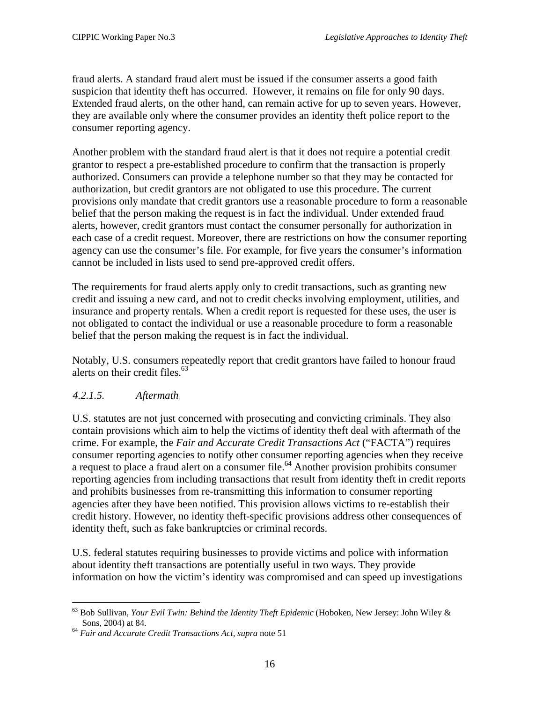<span id="page-21-0"></span>fraud alerts. A standard fraud alert must be issued if the consumer asserts a good faith suspicion that identity theft has occurred. However, it remains on file for only 90 days. Extended fraud alerts, on the other hand, can remain active for up to seven years. However, they are available only where the consumer provides an identity theft police report to the consumer reporting agency.

Another problem with the standard fraud alert is that it does not require a potential credit grantor to respect a pre-established procedure to confirm that the transaction is properly authorized. Consumers can provide a telephone number so that they may be contacted for authorization, but credit grantors are not obligated to use this procedure. The current provisions only mandate that credit grantors use a reasonable procedure to form a reasonable belief that the person making the request is in fact the individual. Under extended fraud alerts, however, credit grantors must contact the consumer personally for authorization in each case of a credit request. Moreover, there are restrictions on how the consumer reporting agency can use the consumer's file. For example, for five years the consumer's information cannot be included in lists used to send pre-approved credit offers.

The requirements for fraud alerts apply only to credit transactions, such as granting new credit and issuing a new card, and not to credit checks involving employment, utilities, and insurance and property rentals. When a credit report is requested for these uses, the user is not obligated to contact the individual or use a reasonable procedure to form a reasonable belief that the person making the request is in fact the individual.

Notably, U.S. consumers repeatedly report that credit grantors have failed to honour fraud alerts on their credit files. [63](#page-21-1)

#### *4.2.1.5. Aftermath*

U.S. statutes are not just concerned with prosecuting and convicting criminals. They also contain provisions which aim to help the victims of identity theft deal with aftermath of the crime. For example, the *Fair and Accurate Credit Transactions Act* ("FACTA") requires consumer reporting agencies to notify other consumer reporting agencies when they receive a request to place a fraud alert on a consumer file.<sup>64</sup> Another provision prohibits consumer reporting agencies from including transactions that result from identity theft in credit reports and prohibits businesses from re-transmitting this information to consumer reporting agencies after they have been notified. This provision allows victims to re-establish their credit history. However, no identity theft-specific provisions address other consequences of identity theft, such as fake bankruptcies or criminal records.

U.S. federal statutes requiring businesses to provide victims and police with information about identity theft transactions are potentially useful in two ways. They provide information on how the victim's identity was compromised and can speed up investigations

<span id="page-21-1"></span><sup>1</sup> 63 Bob Sullivan, *Your Evil Twin: Behind the Identity Theft Epidemic* (Hoboken, New Jersey: John Wiley & Sons, 2004) at 84. 64 *Fair and Accurate Credit Transactions Act, supra* note 51

<span id="page-21-2"></span>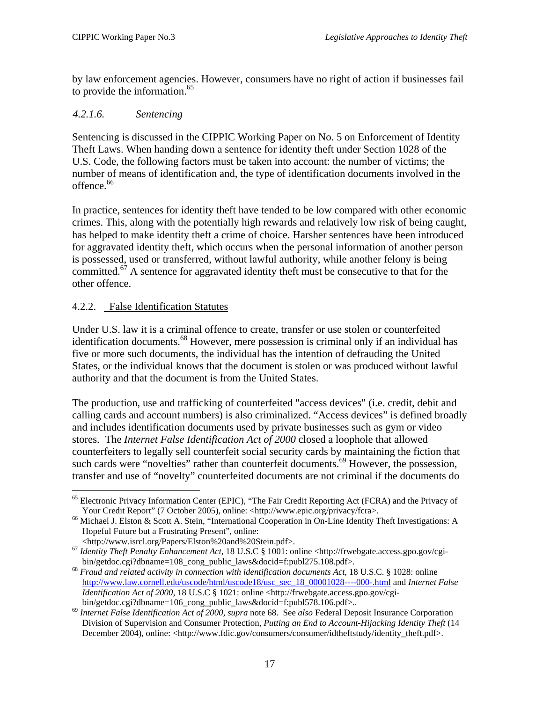<span id="page-22-0"></span>by law enforcement agencies. However, consumers have no right of action if businesses fail to provide the information. $65$ 

#### *4.2.1.6. Sentencing*

Sentencing is discussed in the CIPPIC Working Paper on No. 5 on Enforcement of Identity Theft Laws. When handing down a sentence for identity theft under Section 1028 of the U.S. Code, the following factors must be taken into account: the number of victims; the number of means of identification and, the type of identification documents involved in the offence.<sup>66</sup>

In practice, sentences for identity theft have tended to be low compared with other economic crimes. This, along with the potentially high rewards and relatively low risk of being caught, has helped to make identity theft a crime of choice. Harsher sentences have been introduced for aggravated identity theft, which occurs when the personal information of another person is possessed, used or transferred, without lawful authority, while another felony is being committed.<sup>67</sup> A sentence for aggravated identity theft must be consecutive to that for the other offence.

#### 4.2.2. False Identification Statutes

1

Under U.S. law it is a criminal offence to create, transfer or use stolen or counterfeited identification documents.<sup>68</sup> However, mere possession is criminal only if an individual has five or more such documents, the individual has the intention of defrauding the United States, or the individual knows that the document is stolen or was produced without lawful authority and that the document is from the United States.

The production, use and trafficking of counterfeited "access devices" (i.e. credit, debit and calling cards and account numbers) is also criminalized. "Access devices" is defined broadly and includes identification documents used by private businesses such as gym or video stores. The *Internet False Identification Act of 2000* closed a loophole that allowed counterfeiters to legally sell counterfeit social security cards by maintaining the fiction that such cards were "novelties" rather than counterfeit documents.<sup>69</sup> However, the possession, transfer and use of "novelty" counterfeited documents are not criminal if the documents do

<span id="page-22-1"></span><sup>&</sup>lt;sup>65</sup> Electronic Privacy Information Center (EPIC), "The Fair Credit Reporting Act (FCRA) and the Privacy of Your Credit Report" (7 October 2005), online: <http://www.epic.org/privacy/fcra>.<br>
<sup>66</sup> Michael J. Elston & Scott A. Stein, "International Cooperation in On-Line Identity Theft Investigations: A

<span id="page-22-2"></span>Hopeful Future but a Frustrating Present", online:<br>
<http://www.isrcl.org/Papers/Elston%20and%20Stein.pdf>.

<span id="page-22-3"></span><sup>&</sup>lt;sup>67</sup> Identity Theft Penalty Enhancement Act, 18 U.S.C § 1001: online <http://frwebgate.access.gpo.gov/cgibin/getdoc.cgi?dbname=108\_cong\_public\_laws&docid=f:publ275.108.pdf>. <sup>68</sup> *Fraud and related activity in connection with identification documents Act*, 18 U.S.C. § 1028: online

<span id="page-22-4"></span>[http://www.law.cornell.edu/uscode/html/uscode18/usc\\_sec\\_18\\_00001028----000-.html](http://www.law.cornell.edu/uscode/html/uscode18/usc_sec_18_00001028----000-.html) and *Internet False Identification Act of 2000*, 18 U.S.C § 1021: online <http://frwebgate.access.gpo.gov/cgi-

<span id="page-22-5"></span>bin/getdoc.cgi?dbname=106\_cong\_public\_laws&docid=f:publ578.106.pdf>.. 69 *Internet False Identification Act of 2000, supra* note 68. See *also* Federal Deposit Insurance Corporation Division of Supervision and Consumer Protection, *Putting an End to Account-Hijacking Identity Theft* (14 December 2004), online: <http://www.fdic.gov/consumers/consumer/idtheftstudy/identity\_theft.pdf>.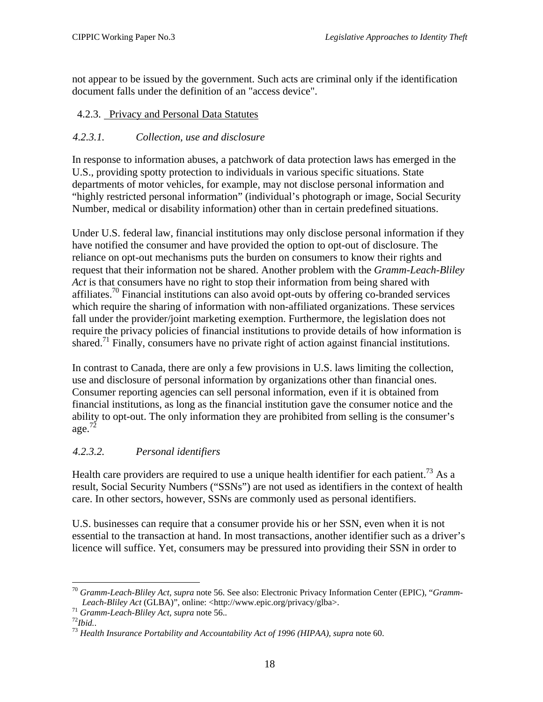<span id="page-23-0"></span>not appear to be issued by the government. Such acts are criminal only if the identification document falls under the definition of an "access device".

## 4.2.3. Privacy and Personal Data Statutes

### *4.2.3.1. Collection, use and disclosure*

In response to information abuses, a patchwork of data protection laws has emerged in the U.S., providing spotty protection to individuals in various specific situations. State departments of motor vehicles, for example, may not disclose personal information and "highly restricted personal information" (individual's photograph or image, Social Security Number, medical or disability information) other than in certain predefined situations.

Under U.S. federal law, financial institutions may only disclose personal information if they have notified the consumer and have provided the option to opt-out of disclosure. The reliance on opt-out mechanisms puts the burden on consumers to know their rights and request that their information not be shared. Another problem with the *Gramm-Leach-Bliley Act* is that consumers have no right to stop their information from being shared with affiliates.<sup>70</sup> Financial institutions can also avoid opt-outs by offering co-branded services which require the sharing of information with non-affiliated organizations. These services fall under the provider/joint marketing exemption. Furthermore, the legislation does not require the privacy policies of financial institutions to provide details of how information is shared.<sup>71</sup> Finally, consumers have no private right of action against financial institutions.

In contrast to Canada, there are only a few provisions in U.S. laws limiting the collection, use and disclosure of personal information by organizations other than financial ones. Consumer reporting agencies can sell personal information, even if it is obtained from financial institutions, as long as the financial institution gave the consumer notice and the ability to opt-out. The only information they are prohibited from selling is the consumer's age. $7\overline{2}$ 

## *4.2.3.2. Personal identifiers*

Health care providers are required to use a unique health identifier for each patient.<sup>73</sup> As a result, Social Security Numbers ("SSNs") are not used as identifiers in the context of health care. In other sectors, however, SSNs are commonly used as personal identifiers.

U.S. businesses can require that a consumer provide his or her SSN, even when it is not essential to the transaction at hand. In most transactions, another identifier such as a driver's licence will suffice. Yet, consumers may be pressured into providing their SSN in order to

<span id="page-23-1"></span><sup>1</sup> <sup>70</sup> *Gramm-Leach-Bliley Act, supra* note 56. See also: Electronic Privacy Information Center (EPIC), "*Gramm-*Leach-Bliley Act (GLBA)", online: <http://www.epic.org/privacy/glba>.<br>
<sup>71</sup> Gramm-Leach-Bliley Act, supra note 56..<br>
<sup>72</sup>Ibid..<br>
<sup>73</sup> Health Insurance Portability and Accountability Act of 1996 (HIPAA), supra note 60.

<span id="page-23-2"></span>

<span id="page-23-3"></span>

<span id="page-23-4"></span>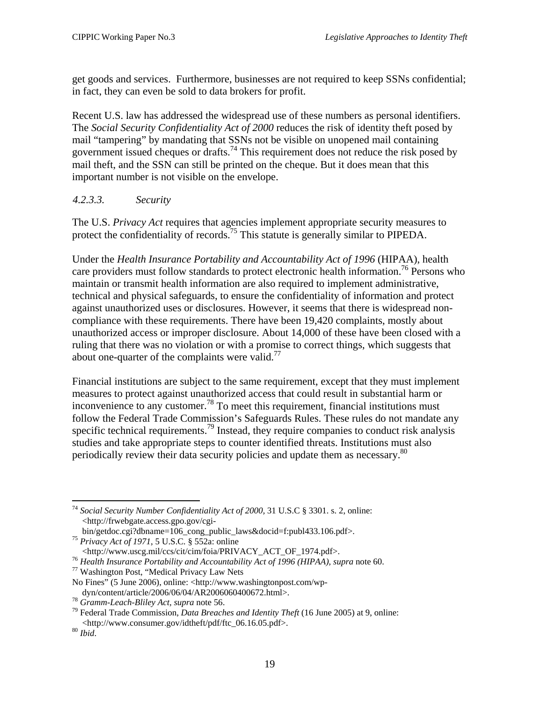<span id="page-24-0"></span>get goods and services. Furthermore, businesses are not required to keep SSNs confidential; in fact, they can even be sold to data brokers for profit.

Recent U.S. law has addressed the widespread use of these numbers as personal identifiers. The *Social Security Confidentiality Act of 2000* reduces the risk of identity theft posed by mail "tampering" by mandating that SSNs not be visible on unopened mail containing government issued cheques or drafts.<sup>74</sup> This requirement does not reduce the risk posed by mail theft, and the SSN can still be printed on the cheque. But it does mean that this important number is not visible on the envelope.

#### *4.2.3.3. Security*

The U.S. *Privacy Act* requires that agencies implement appropriate security measures to protect the confidentiality of records.[75](#page-24-2) This statute is generally similar to PIPEDA.

Under the *Health Insurance Portability and Accountability Act of 1996* (HIPAA), health care providers must follow standards to protect electronic health information.<sup>76</sup> Persons who maintain or transmit health information are also required to implement administrative, technical and physical safeguards, to ensure the confidentiality of information and protect against unauthorized uses or disclosures. However, it seems that there is widespread noncompliance with these requirements. There have been 19,420 complaints, mostly about unauthorized access or improper disclosure. About 14,000 of these have been closed with a ruling that there was no violation or with a promise to correct things, which suggests that about one-quarter of the complaints were valid.<sup>[77](#page-24-4)</sup>

Financial institutions are subject to the same requirement, except that they must implement measures to protect against unauthorized access that could result in substantial harm or inconvenience to any customer.<sup>78</sup> To meet this requirement, financial institutions must follow the Federal Trade Commission's Safeguards Rules. These rules do not mandate any specific technical requirements.<sup>79</sup> Instead, they require companies to conduct risk analysis studies and take appropriate steps to counter identified threats. Institutions must also periodically review their data security policies and update them as necessary.<sup>80</sup>

<span id="page-24-1"></span><sup>1</sup> <sup>74</sup> *Social Security Number Confidentiality Act of 2000,* 31 U.S.C § 3301. s. 2, online: <http://frwebgate.access.gpo.gov/cgi-

<span id="page-24-2"></span>

bin/getdoc.cgi?dbname=106\_cong\_public\_laws&docid=f:publ433.106.pdf>. <sup>75</sup> *Privacy Act of 1971*, 5 U.S.C. § 552a: online

<span id="page-24-3"></span><sup>&</sup>lt;sup>76</sup> *Health Insurance Portability and Accountability Act of 1996 (HIPAA), supra* note 60. <sup>77</sup> Washington Post, "Medical Privacy Law Nets

<span id="page-24-4"></span>

No Fines" (5 June 2006), online: <http://www.washingtonpost.com/wp-

<span id="page-24-6"></span><span id="page-24-5"></span>

dyn/content/article/2006/06/04/AR2006060400672.html>.<br><sup>78</sup> *Gramm-Leach-Bliley Act, supra* note 56.<br><sup>79</sup> Federal Trade Commission, *Data Breaches and Identity Theft* (16 June 2005) at 9, online: <http://www.consumer.gov/idtheft/pdf/ftc\_06.16.05.pdf>. 80 *Ibid*.

<span id="page-24-7"></span>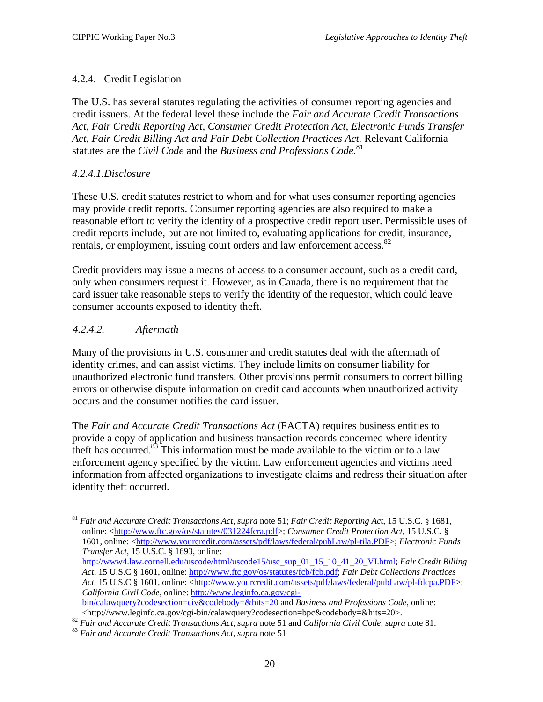## <span id="page-25-0"></span>4.2.4. Credit Legislation

The U.S. has several statutes regulating the activities of consumer reporting agencies and credit issuers. At the federal level these include the *Fair and Accurate Credit Transactions Act, Fair Credit Reporting Act, Consumer Credit Protection Act, Electronic Funds Transfer Act, Fair Credit Billing Act and Fair Debt Collection Practices Act.* Relevant California statutes are the *Civil Code* and the *Business and Professions Code.*[81](#page-25-1)

#### *4.2.4.1.Disclosure*

These U.S. credit statutes restrict to whom and for what uses consumer reporting agencies may provide credit reports. Consumer reporting agencies are also required to make a reasonable effort to verify the identity of a prospective credit report user. Permissible uses of credit reports include, but are not limited to, evaluating applications for credit, insurance, rentals, or employment, issuing court orders and law enforcement access.<sup>[82](#page-25-2)</sup>

Credit providers may issue a means of access to a consumer account, such as a credit card, only when consumers request it. However, as in Canada, there is no requirement that the card issuer take reasonable steps to verify the identity of the requestor, which could leave consumer accounts exposed to identity theft.

#### *4.2.4.2. Aftermath*

1

Many of the provisions in U.S. consumer and credit statutes deal with the aftermath of identity crimes, and can assist victims. They include limits on consumer liability for unauthorized electronic fund transfers. Other provisions permit consumers to correct billing errors or otherwise dispute information on credit card accounts when unauthorized activity occurs and the consumer notifies the card issuer.

The *Fair and Accurate Credit Transactions Act* (FACTA) requires business entities to provide a copy of application and business transaction records concerned where identity theft has occurred.<sup>83</sup> This information must be made available to the victim or to a law enforcement agency specified by the victim. Law enforcement agencies and victims need information from affected organizations to investigate claims and redress their situation after identity theft occurred.

<span id="page-25-1"></span><sup>81</sup> *Fair and Accurate Credit Transactions Act, supra* note 51; *Fair Credit Reporting Act*, 15 U.S.C. § 1681, online: <<http://www.ftc.gov/os/statutes/031224fcra.pdf>>; *Consumer Credit Protection Act*, 15 U.S.C. § 1601, online: <<http://www.yourcredit.com/assets/pdf/laws/federal/pubLaw/pl-tila.PDF>>; *Electronic Funds Transfer Act*, 15 U.S.C. § 1693, online: [http://www4.law.cornell.edu/uscode/html/uscode15/usc\\_sup\\_01\\_15\\_10\\_41\\_20\\_VI.html;](http://www4.law.cornell.edu/uscode/html/uscode15/usc_sup_01_15_10_41_20_VI.html) *Fair Credit Billing Act*, 15 U.S.C § 1601, online: [http://www.ftc.gov/os/statutes/fcb/fcb.pdf;](http://www.ftc.gov/os/statutes/fcb/fcb.pdf) *Fair Debt Collections Practices Act*, 15 U.S.C § 1601, online: <<http://www.yourcredit.com/assets/pdf/laws/federal/pubLaw/pl-fdcpa.PDF>>; *California Civil Code*, online: [http://www.leginfo.ca.gov/cgi](http://www.leginfo.ca.gov/cgi-bin/calawquery?codesection=civ&codebody=&hits=20)[bin/calawquery?codesection=civ&codebody=&hits=20](http://www.leginfo.ca.gov/cgi-bin/calawquery?codesection=civ&codebody=&hits=20) and *Business and Professions Code*, online:

<span id="page-25-2"></span> $\lt$ http://www.leginfo.ca.gov/cgi-bin/calawquery?codesection=bpc&codebody=&hits=20>.<br><sup>82</sup> Fair and Accurate Credit Transactions Act, supra note 51 and California Civil Code, supra note 81.<br><sup>83</sup> Fair and Accurate Credit Tr

<span id="page-25-3"></span>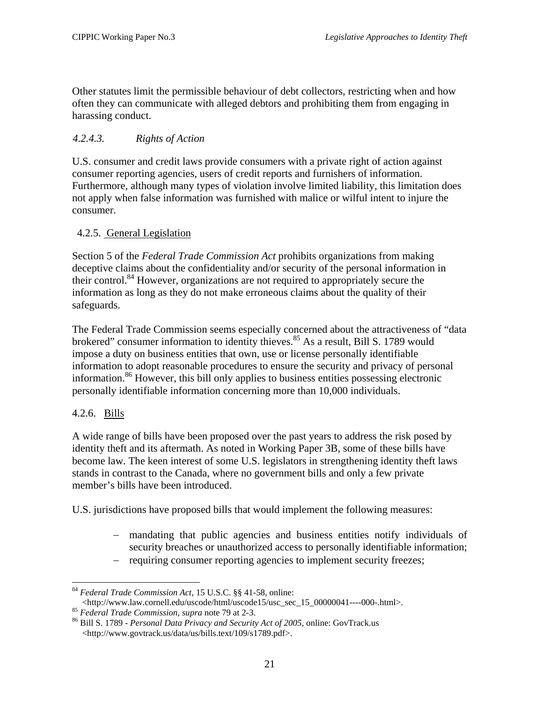<span id="page-26-0"></span>Other statutes limit the permissible behaviour of debt collectors, restricting when and how often they can communicate with alleged debtors and prohibiting them from engaging in harassing conduct.

## *4.2.4.3. Rights of Action*

U.S. consumer and credit laws provide consumers with a private right of action against consumer reporting agencies, users of credit reports and furnishers of information. Furthermore, although many types of violation involve limited liability, this limitation does not apply when false information was furnished with malice or wilful intent to injure the consumer.

### 4.2.5. General Legislation

Section 5 of the *Federal Trade Commission Act* prohibits organizations from making deceptive claims about the confidentiality and/or security of the personal information in their control.<sup>84</sup> However, organizations are not required to appropriately secure the information as long as they do not make erroneous claims about the quality of their safeguards.

The Federal Trade Commission seems especially concerned about the attractiveness of "data brokered" consumer information to identity thieves.<sup>85</sup> As a result, Bill S. 1789 would impose a duty on business entities that own, use or license personally identifiable information to adopt reasonable procedures to ensure the security and privacy of personal information.<sup>86</sup> However, this bill only applies to business entities possessing electronic personally identifiable information concerning more than 10,000 individuals.

## 4.2.6. Bills

1

A wide range of bills have been proposed over the past years to address the risk posed by identity theft and its aftermath. As noted in Working Paper 3B, some of these bills have become law. The keen interest of some U.S. legislators in strengthening identity theft laws stands in contrast to the Canada, where no government bills and only a few private member's bills have been introduced.

U.S. jurisdictions have proposed bills that would implement the following measures:

- − mandating that public agencies and business entities notify individuals of security breaches or unauthorized access to personally identifiable information;
- requiring consumer reporting agencies to implement security freezes;

<span id="page-26-1"></span>

<sup>84</sup> *Federal Trade Commission Act*, 15 U.S.C. §§ 41-58, online:

<span id="page-26-3"></span><span id="page-26-2"></span>

<sup>&</sup>lt;sup>85</sup> Federal Trade Commission, supra note 79 at 2-3.<br><sup>86</sup> Bill S. 1789 - *Personal Data Privacy and Security Act of 2005*, online: GovTrack.us <http://www.govtrack.us/data/us/bills.text/109/s1789.pdf>.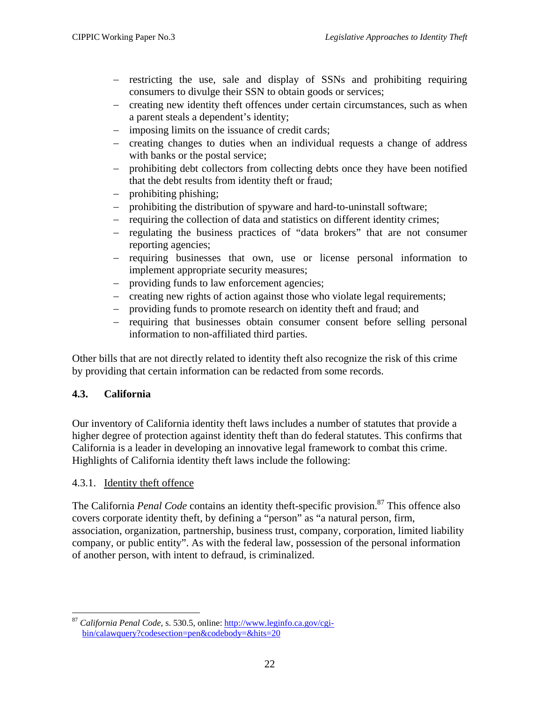- <span id="page-27-0"></span>− restricting the use, sale and display of SSNs and prohibiting requiring consumers to divulge their SSN to obtain goods or services;
- − creating new identity theft offences under certain circumstances, such as when a parent steals a dependent's identity;
- − imposing limits on the issuance of credit cards;
- − creating changes to duties when an individual requests a change of address with banks or the postal service;
- − prohibiting debt collectors from collecting debts once they have been notified that the debt results from identity theft or fraud;
- − prohibiting phishing;
- prohibiting the distribution of spyware and hard-to-uninstall software;
- − requiring the collection of data and statistics on different identity crimes;
- − regulating the business practices of "data brokers" that are not consumer reporting agencies;
- − requiring businesses that own, use or license personal information to implement appropriate security measures;
- − providing funds to law enforcement agencies;
- − creating new rights of action against those who violate legal requirements;
- − providing funds to promote research on identity theft and fraud; and
- − requiring that businesses obtain consumer consent before selling personal information to non-affiliated third parties.

Other bills that are not directly related to identity theft also recognize the risk of this crime by providing that certain information can be redacted from some records.

## **4.3. California**

Our inventory of California identity theft laws includes a number of statutes that provide a higher degree of protection against identity theft than do federal statutes. This confirms that California is a leader in developing an innovative legal framework to combat this crime. Highlights of California identity theft laws include the following:

#### 4.3.1. Identity theft offence

The California *Penal Code* contains an identity theft-specific provision.<sup>87</sup> This offence also covers corporate identity theft, by defining a "person" as "a natural person, firm, association, organization, partnership, business trust, company, corporation, limited liability company, or public entity". As with the federal law, possession of the personal information of another person, with intent to defraud, is criminalized.

<span id="page-27-1"></span><sup>1</sup> <sup>87</sup> *California Penal Code*, s. 530.5, online: [http://www.leginfo.ca.gov/cgi](http://www.leginfo.ca.gov/cgi-bin/calawquery?codesection=pen&codebody=&hits=20)[bin/calawquery?codesection=pen&codebody=&hits=20](http://www.leginfo.ca.gov/cgi-bin/calawquery?codesection=pen&codebody=&hits=20)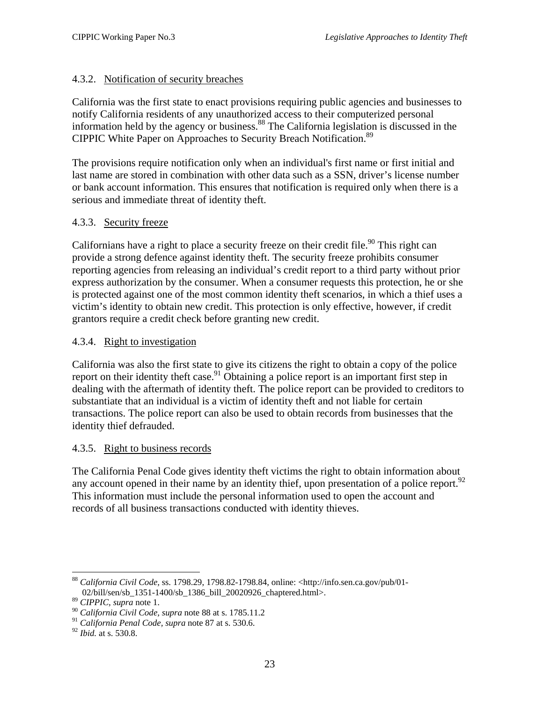#### <span id="page-28-0"></span>4.3.2. Notification of security breaches

California was the first state to enact provisions requiring public agencies and businesses to notify California residents of any unauthorized access to their computerized personal information held by the agency or business[.88](#page-28-1) The California legislation is discussed in the CIPPIC White Paper on Approaches to Security Breach Notification.<sup>89</sup>

The provisions require notification only when an individual's first name or first initial and last name are stored in combination with other data such as a SSN, driver's license number or bank account information. This ensures that notification is required only when there is a serious and immediate threat of identity theft.

#### 4.3.3. Security freeze

Californians have a right to place a security freeze on their credit file.<sup>90</sup> This right can provide a strong defence against identity theft. The security freeze prohibits consumer reporting agencies from releasing an individual's credit report to a third party without prior express authorization by the consumer. When a consumer requests this protection, he or she is protected against one of the most common identity theft scenarios, in which a thief uses a victim's identity to obtain new credit. This protection is only effective, however, if credit grantors require a credit check before granting new credit.

#### 4.3.4. Right to investigation

California was also the first state to give its citizens the right to obtain a copy of the police report on their identity theft case.<sup>91</sup> Obtaining a police report is an important first step in dealing with the aftermath of identity theft. The police report can be provided to creditors to substantiate that an individual is a victim of identity theft and not liable for certain transactions. The police report can also be used to obtain records from businesses that the identity thief defrauded.

#### 4.3.5. Right to business records

The California Penal Code gives identity theft victims the right to obtain information about any account opened in their name by an identity thief, upon presentation of a police report. $92$ This information must include the personal information used to open the account and records of all business transactions conducted with identity thieves.

<span id="page-28-1"></span><sup>1</sup> <sup>88</sup> *California Civil Code,* ss. 1798.29, 1798.82-1798.84, online: <http://info.sen.ca.gov/pub/01- 02/bill/sen/sb\_1351-1400/sb\_1386\_bill\_20020926\_chaptered.html>.

<span id="page-28-2"></span><sup>89</sup> *CIPPIC, supra* note 1.

<span id="page-28-3"></span><sup>90</sup> *California Civil Code, supra* note 88 at s. 1785.11.2

<span id="page-28-4"></span><sup>91</sup> *California Penal Code, supra* note 87 at s. 530.6.

<span id="page-28-5"></span><sup>92</sup> *Ibid.* at s. 530.8.